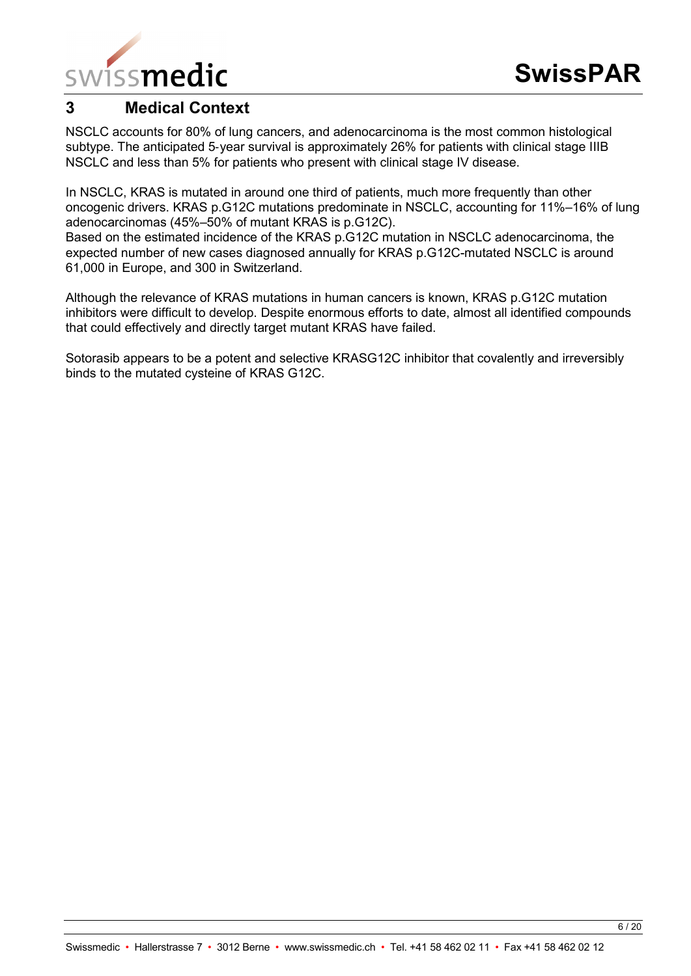

# **3 Medical Context**

NSCLC accounts for 80% of lung cancers, and adenocarcinoma is the most common histological subtype. The anticipated 5-year survival is approximately 26% for patients with clinical stage IIIB NSCLC and less than 5% for patients who present with clinical stage IV disease.

In NSCLC, KRAS is mutated in around one third of patients, much more frequently than other oncogenic drivers. KRAS p.G12C mutations predominate in NSCLC, accounting for 11%–16% of lung adenocarcinomas (45%–50% of mutant KRAS is p.G12C).

Based on the estimated incidence of the KRAS p.G12C mutation in NSCLC adenocarcinoma, the expected number of new cases diagnosed annually for KRAS p.G12C-mutated NSCLC is around 61,000 in Europe, and 300 in Switzerland.

Although the relevance of KRAS mutations in human cancers is known, KRAS p.G12C mutation inhibitors were difficult to develop. Despite enormous efforts to date, almost all identified compounds that could effectively and directly target mutant KRAS have failed.

Sotorasib appears to be a potent and selective KRASG12C inhibitor that covalently and irreversibly binds to the mutated cysteine of KRAS G12C.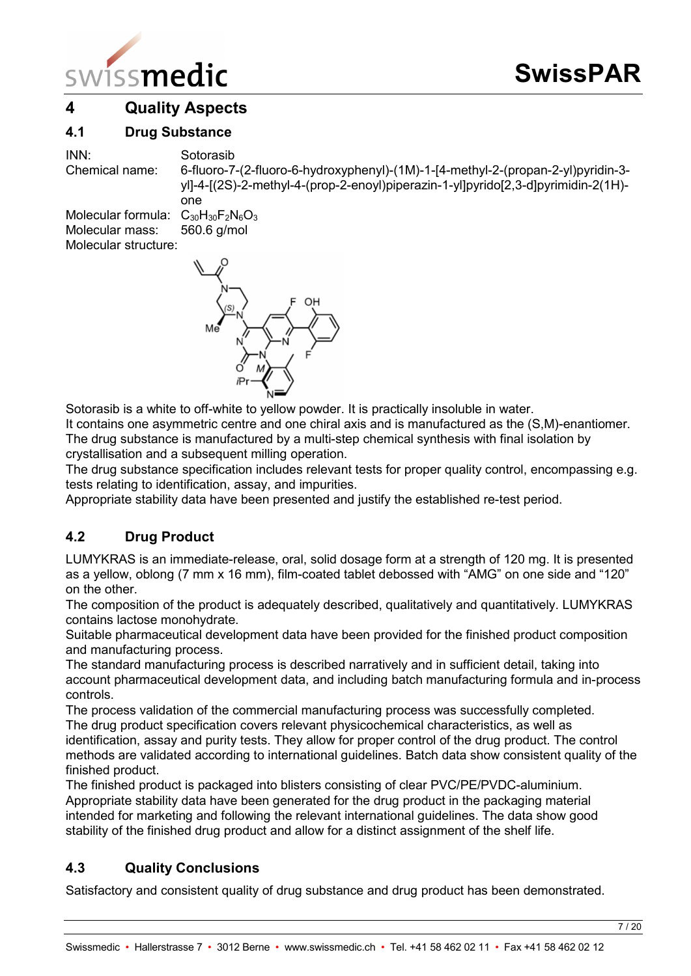

# **4 Quality Aspects**

## **4.1 Drug Substance**

INN: Sotorasib

Chemical name: 6-fluoro-7-(2-fluoro-6-hydroxyphenyl)-(1M)-1-[4-methyl-2-(propan-2-yl)pyridin-3 yl]-4-[(2S)-2-methyl-4-(prop-2-enoyl)piperazin-1-yl]pyrido[2,3-d]pyrimidin-2(1H) one

Molecular formula:  $C_{30}H_{30}F_2N_6O_3$ Molecular mass: 560.6 g/mol Molecular structure:



Sotorasib is a white to off-white to yellow powder. It is practically insoluble in water.

It contains one asymmetric centre and one chiral axis and is manufactured as the (S,M)-enantiomer. The drug substance is manufactured by a multi-step chemical synthesis with final isolation by crystallisation and a subsequent milling operation.

The drug substance specification includes relevant tests for proper quality control, encompassing e.g. tests relating to identification, assay, and impurities.

Appropriate stability data have been presented and justify the established re-test period.

# **4.2 Drug Product**

LUMYKRAS is an immediate-release, oral, solid dosage form at a strength of 120 mg. It is presented as a yellow, oblong (7 mm x 16 mm), film-coated tablet debossed with "AMG" on one side and "120" on the other.

The composition of the product is adequately described, qualitatively and quantitatively. LUMYKRAS contains lactose monohydrate.

Suitable pharmaceutical development data have been provided for the finished product composition and manufacturing process.

The standard manufacturing process is described narratively and in sufficient detail, taking into account pharmaceutical development data, and including batch manufacturing formula and in-process controls.

The process validation of the commercial manufacturing process was successfully completed. The drug product specification covers relevant physicochemical characteristics, as well as identification, assay and purity tests. They allow for proper control of the drug product. The control methods are validated according to international guidelines. Batch data show consistent quality of the finished product.

The finished product is packaged into blisters consisting of clear PVC/PE/PVDC-aluminium. Appropriate stability data have been generated for the drug product in the packaging material intended for marketing and following the relevant international guidelines. The data show good stability of the finished drug product and allow for a distinct assignment of the shelf life.

# **4.3 Quality Conclusions**

Satisfactory and consistent quality of drug substance and drug product has been demonstrated.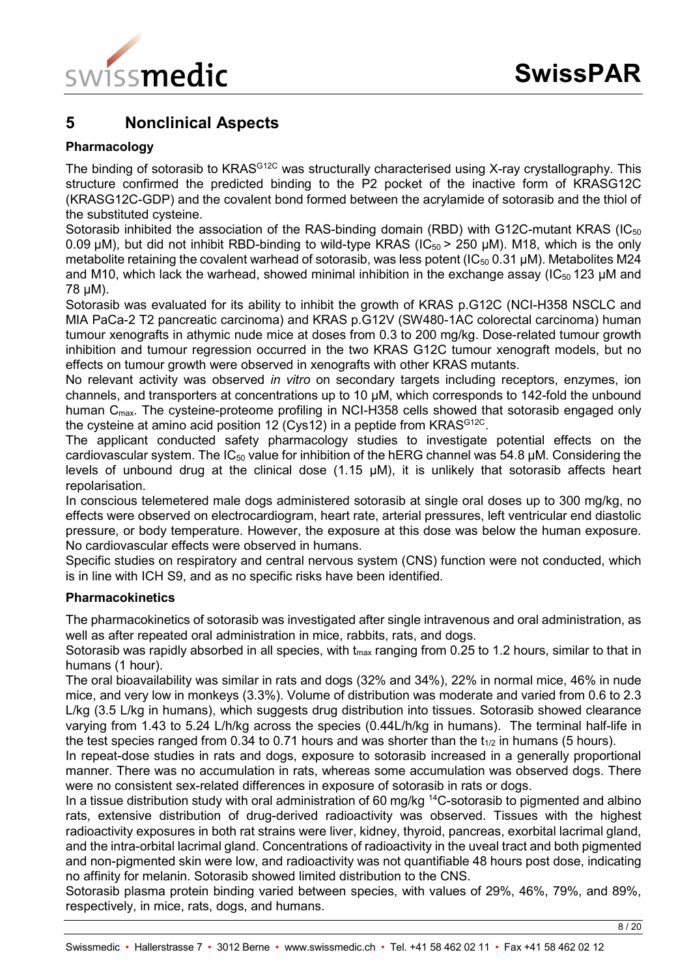

# **5 Nonclinical Aspects**

## **Pharmacology**

The binding of sotorasib to KRAS<sup>G12C</sup> was structurally characterised using X-ray crystallography. This structure confirmed the predicted binding to the P2 pocket of the inactive form of KRASG12C (KRASG12C-GDP) and the covalent bond formed between the acrylamide of sotorasib and the thiol of the substituted cysteine.

Sotorasib inhibited the association of the RAS-binding domain (RBD) with G12C-mutant KRAS (IC $_{50}$ ) 0.09  $\mu$ M), but did not inhibit RBD-binding to wild-type KRAS (IC<sub>50</sub> > 250  $\mu$ M). M18, which is the only metabolite retaining the covalent warhead of sotorasib, was less potent ( $IC_{50}$  0.31 µM). Metabolites M24 and M10, which lack the warhead, showed minimal inhibition in the exchange assay (IC $_{50}$  123 µM and 78 µM).

Sotorasib was evaluated for its ability to inhibit the growth of KRAS p.G12C (NCI-H358 NSCLC and MIA PaCa-2 T2 pancreatic carcinoma) and KRAS p.G12V (SW480-1AC colorectal carcinoma) human tumour xenografts in athymic nude mice at doses from 0.3 to 200 mg/kg. Dose-related tumour growth inhibition and tumour regression occurred in the two KRAS G12C tumour xenograft models, but no effects on tumour growth were observed in xenografts with other KRAS mutants.

No relevant activity was observed *in vitro* on secondary targets including receptors, enzymes, ion channels, and transporters at concentrations up to 10 µM, which corresponds to 142-fold the unbound human  $C_{\text{max}}$ . The cysteine-proteome profiling in NCI-H358 cells showed that sotorasib engaged only the cysteine at amino acid position 12 (Cys12) in a peptide from KRAS<sup>G12C</sup>.

The applicant conducted safety pharmacology studies to investigate potential effects on the cardiovascular system. The  $IC_{50}$  value for inhibition of the hERG channel was 54.8  $\mu$ M. Considering the levels of unbound drug at the clinical dose (1.15 µM), it is unlikely that sotorasib affects heart repolarisation.

In conscious telemetered male dogs administered sotorasib at single oral doses up to 300 mg/kg, no effects were observed on electrocardiogram, heart rate, arterial pressures, left ventricular end diastolic pressure, or body temperature. However, the exposure at this dose was below the human exposure. No cardiovascular effects were observed in humans.

Specific studies on respiratory and central nervous system (CNS) function were not conducted, which is in line with ICH S9, and as no specific risks have been identified.

### **Pharmacokinetics**

The pharmacokinetics of sotorasib was investigated after single intravenous and oral administration, as well as after repeated oral administration in mice, rabbits, rats, and dogs.

Sotorasib was rapidly absorbed in all species, with  $t_{max}$  ranging from 0.25 to 1.2 hours, similar to that in humans (1 hour).

The oral bioavailability was similar in rats and dogs (32% and 34%), 22% in normal mice, 46% in nude mice, and very low in monkeys (3.3%). Volume of distribution was moderate and varied from 0.6 to 2.3 L/kg (3.5 L/kg in humans), which suggests drug distribution into tissues. Sotorasib showed clearance varying from 1.43 to 5.24 L/h/kg across the species (0.44L/h/kg in humans). The terminal half-life in the test species ranged from 0.34 to 0.71 hours and was shorter than the  $t_{1/2}$  in humans (5 hours).

In repeat-dose studies in rats and dogs, exposure to sotorasib increased in a generally proportional manner. There was no accumulation in rats, whereas some accumulation was observed dogs. There were no consistent sex-related differences in exposure of sotorasib in rats or dogs.

In a tissue distribution study with oral administration of 60 mg/kg <sup>14</sup>C-sotorasib to pigmented and albino rats, extensive distribution of drug-derived radioactivity was observed. Tissues with the highest radioactivity exposures in both rat strains were liver, kidney, thyroid, pancreas, exorbital lacrimal gland, and the intra-orbital lacrimal gland. Concentrations of radioactivity in the uveal tract and both pigmented and non-pigmented skin were low, and radioactivity was not quantifiable 48 hours post dose, indicating no affinity for melanin. Sotorasib showed limited distribution to the CNS.

Sotorasib plasma protein binding varied between species, with values of 29%, 46%, 79%, and 89%, respectively, in mice, rats, dogs, and humans.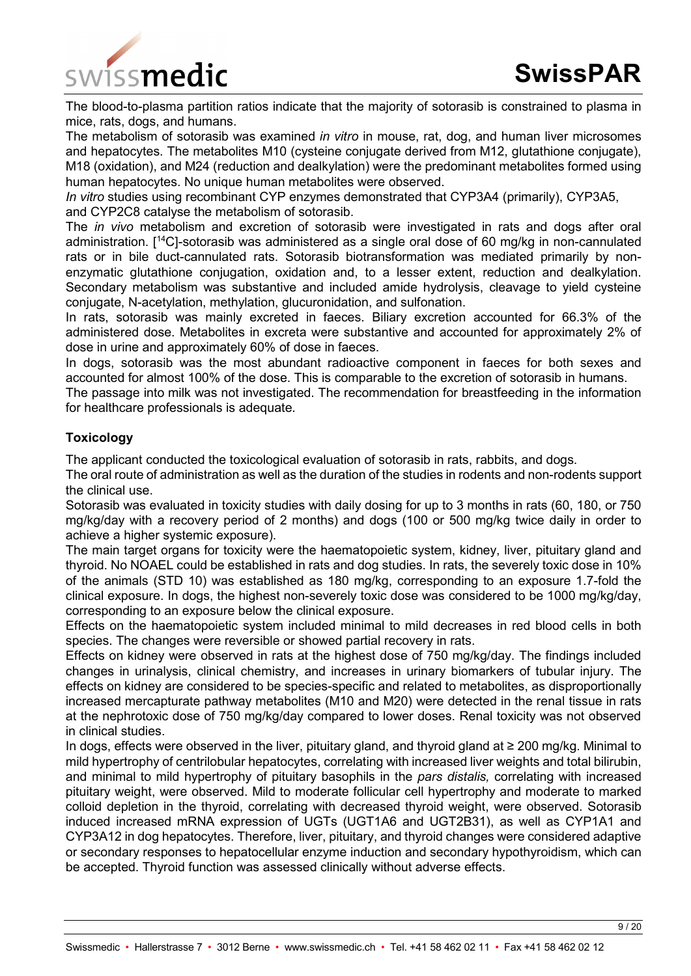

The blood-to-plasma partition ratios indicate that the majority of sotorasib is constrained to plasma in mice, rats, dogs, and humans.

The metabolism of sotorasib was examined *in vitro* in mouse, rat, dog, and human liver microsomes and hepatocytes. The metabolites M10 (cysteine conjugate derived from M12, glutathione conjugate), M18 (oxidation), and M24 (reduction and dealkylation) were the predominant metabolites formed using human hepatocytes. No unique human metabolites were observed.

*In vitro* studies using recombinant CYP enzymes demonstrated that CYP3A4 (primarily), CYP3A5, and CYP2C8 catalyse the metabolism of sotorasib.

The *in vivo* metabolism and excretion of sotorasib were investigated in rats and dogs after oral administration. [14C]-sotorasib was administered as a single oral dose of 60 mg/kg in non-cannulated rats or in bile duct-cannulated rats. Sotorasib biotransformation was mediated primarily by nonenzymatic glutathione conjugation, oxidation and, to a lesser extent, reduction and dealkylation. Secondary metabolism was substantive and included amide hydrolysis, cleavage to yield cysteine conjugate, N-acetylation, methylation, glucuronidation, and sulfonation.

In rats, sotorasib was mainly excreted in faeces. Biliary excretion accounted for 66.3% of the administered dose. Metabolites in excreta were substantive and accounted for approximately 2% of dose in urine and approximately 60% of dose in faeces.

In dogs, sotorasib was the most abundant radioactive component in faeces for both sexes and accounted for almost 100% of the dose. This is comparable to the excretion of sotorasib in humans.

The passage into milk was not investigated. The recommendation for breastfeeding in the information for healthcare professionals is adequate.

## **Toxicology**

The applicant conducted the toxicological evaluation of sotorasib in rats, rabbits, and dogs.

The oral route of administration as well as the duration of the studies in rodents and non-rodents support the clinical use.

Sotorasib was evaluated in toxicity studies with daily dosing for up to 3 months in rats (60, 180, or 750 mg/kg/day with a recovery period of 2 months) and dogs (100 or 500 mg/kg twice daily in order to achieve a higher systemic exposure).

The main target organs for toxicity were the haematopoietic system, kidney, liver, pituitary gland and thyroid. No NOAEL could be established in rats and dog studies. In rats, the severely toxic dose in 10% of the animals (STD 10) was established as 180 mg/kg, corresponding to an exposure 1.7-fold the clinical exposure. In dogs, the highest non-severely toxic dose was considered to be 1000 mg/kg/day, corresponding to an exposure below the clinical exposure.

Effects on the haematopoietic system included minimal to mild decreases in red blood cells in both species. The changes were reversible or showed partial recovery in rats.

Effects on kidney were observed in rats at the highest dose of 750 mg/kg/day. The findings included changes in urinalysis, clinical chemistry, and increases in urinary biomarkers of tubular injury. The effects on kidney are considered to be species-specific and related to metabolites, as disproportionally increased mercapturate pathway metabolites (M10 and M20) were detected in the renal tissue in rats at the nephrotoxic dose of 750 mg/kg/day compared to lower doses. Renal toxicity was not observed in clinical studies.

In dogs, effects were observed in the liver, pituitary gland, and thyroid gland at ≥ 200 mg/kg. Minimal to mild hypertrophy of centrilobular hepatocytes, correlating with increased liver weights and total bilirubin, and minimal to mild hypertrophy of pituitary basophils in the *pars distalis,* correlating with increased pituitary weight, were observed. Mild to moderate follicular cell hypertrophy and moderate to marked colloid depletion in the thyroid, correlating with decreased thyroid weight, were observed. Sotorasib induced increased mRNA expression of UGTs (UGT1A6 and UGT2B31), as well as CYP1A1 and CYP3A12 in dog hepatocytes. Therefore, liver, pituitary, and thyroid changes were considered adaptive or secondary responses to hepatocellular enzyme induction and secondary hypothyroidism, which can be accepted. Thyroid function was assessed clinically without adverse effects.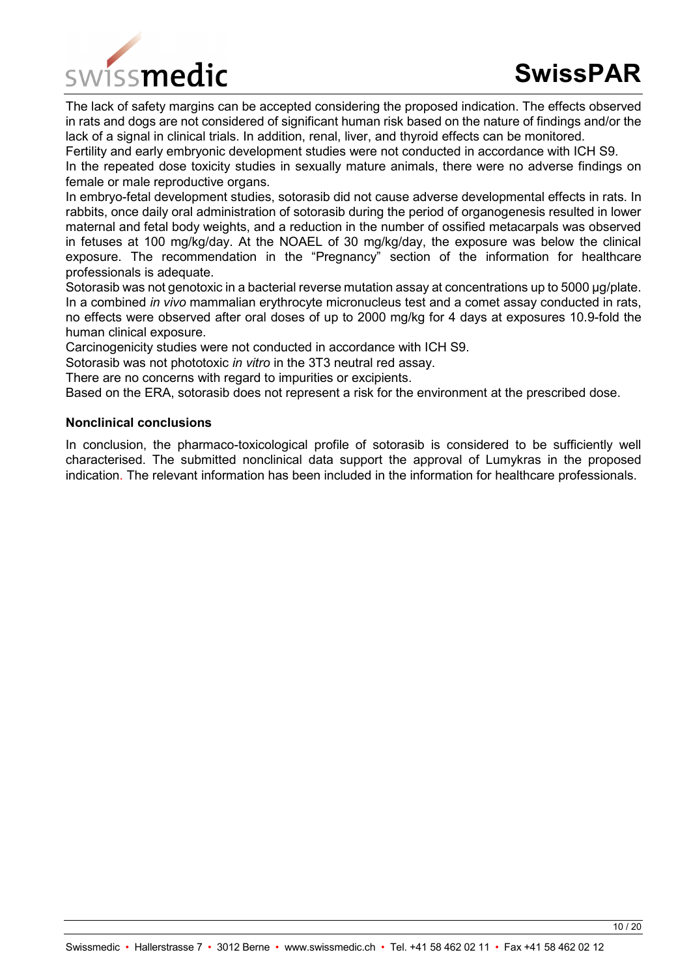

The lack of safety margins can be accepted considering the proposed indication. The effects observed in rats and dogs are not considered of significant human risk based on the nature of findings and/or the lack of a signal in clinical trials. In addition, renal, liver, and thyroid effects can be monitored.

Fertility and early embryonic development studies were not conducted in accordance with ICH S9.

In the repeated dose toxicity studies in sexually mature animals, there were no adverse findings on female or male reproductive organs.

In embryo-fetal development studies, sotorasib did not cause adverse developmental effects in rats. In rabbits, once daily oral administration of sotorasib during the period of organogenesis resulted in lower maternal and fetal body weights, and a reduction in the number of ossified metacarpals was observed in fetuses at 100 mg/kg/day. At the NOAEL of 30 mg/kg/day, the exposure was below the clinical exposure. The recommendation in the "Pregnancy" section of the information for healthcare professionals is adequate.

Sotorasib was not genotoxic in a bacterial reverse mutation assay at concentrations up to 5000 µg/plate. In a combined *in vivo* mammalian erythrocyte micronucleus test and a comet assay conducted in rats, no effects were observed after oral doses of up to 2000 mg/kg for 4 days at exposures 10.9-fold the human clinical exposure.

Carcinogenicity studies were not conducted in accordance with ICH S9.

Sotorasib was not phototoxic *in vitro* in the 3T3 neutral red assay.

There are no concerns with regard to impurities or excipients.

Based on the ERA, sotorasib does not represent a risk for the environment at the prescribed dose.

#### **Nonclinical conclusions**

In conclusion, the pharmaco-toxicological profile of sotorasib is considered to be sufficiently well characterised. The submitted nonclinical data support the approval of Lumykras in the proposed indication. The relevant information has been included in the information for healthcare professionals.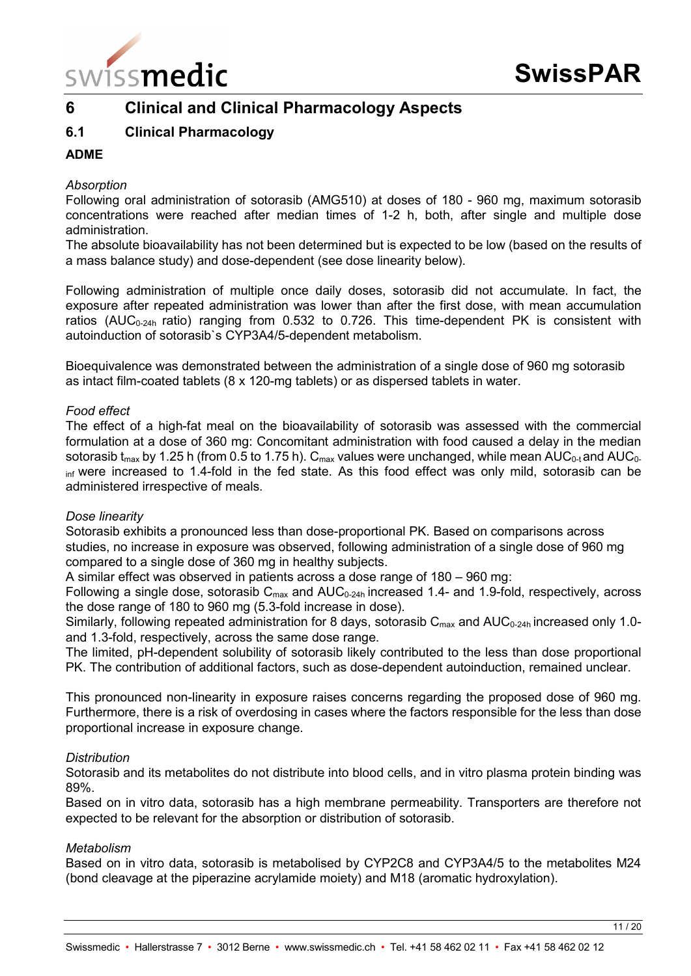

# **6 Clinical and Clinical Pharmacology Aspects**

# **6.1 Clinical Pharmacology**

## **ADME**

#### *Absorption*

Following oral administration of sotorasib (AMG510) at doses of 180 - 960 mg, maximum sotorasib concentrations were reached after median times of 1-2 h, both, after single and multiple dose administration.

The absolute bioavailability has not been determined but is expected to be low (based on the results of a mass balance study) and dose-dependent (see dose linearity below).

Following administration of multiple once daily doses, sotorasib did not accumulate. In fact, the exposure after repeated administration was lower than after the first dose, with mean accumulation ratios (AUC<sub>0-24h</sub> ratio) ranging from 0.532 to 0.726. This time-dependent PK is consistent with autoinduction of sotorasib`s CYP3A4/5-dependent metabolism.

Bioequivalence was demonstrated between the administration of a single dose of 960 mg sotorasib as intact film-coated tablets (8 x 120-mg tablets) or as dispersed tablets in water.

#### *Food effect*

The effect of a high-fat meal on the bioavailability of sotorasib was assessed with the commercial formulation at a dose of 360 mg: Concomitant administration with food caused a delay in the median sotorasib t<sub>max</sub> by 1.25 h (from 0.5 to 1.75 h).  $C_{\text{max}}$  values were unchanged, while mean AUC<sub>0-t</sub> and AUC<sub>0-</sub> inf were increased to 1.4-fold in the fed state. As this food effect was only mild, sotorasib can be administered irrespective of meals.

#### *Dose linearity*

Sotorasib exhibits a pronounced less than dose-proportional PK. Based on comparisons across studies, no increase in exposure was observed, following administration of a single dose of 960 mg compared to a single dose of 360 mg in healthy subjects.

A similar effect was observed in patients across a dose range of 180 – 960 mg:

Following a single dose, sotorasib  $C_{\text{max}}$  and  $AUC_{0.24h}$  increased 1.4- and 1.9-fold, respectively, across the dose range of 180 to 960 mg (5.3-fold increase in dose).

Similarly, following repeated administration for 8 days, sotorasib  $C_{\text{max}}$  and  $AUC_{0-24h}$  increased only 1.0and 1.3-fold, respectively, across the same dose range.

The limited, pH-dependent solubility of sotorasib likely contributed to the less than dose proportional PK. The contribution of additional factors, such as dose-dependent autoinduction, remained unclear.

This pronounced non-linearity in exposure raises concerns regarding the proposed dose of 960 mg. Furthermore, there is a risk of overdosing in cases where the factors responsible for the less than dose proportional increase in exposure change.

#### *Distribution*

Sotorasib and its metabolites do not distribute into blood cells, and in vitro plasma protein binding was 89%.

Based on in vitro data, sotorasib has a high membrane permeability. Transporters are therefore not expected to be relevant for the absorption or distribution of sotorasib.

#### *Metabolism*

Based on in vitro data, sotorasib is metabolised by CYP2C8 and CYP3A4/5 to the metabolites M24 (bond cleavage at the piperazine acrylamide moiety) and M18 (aromatic hydroxylation).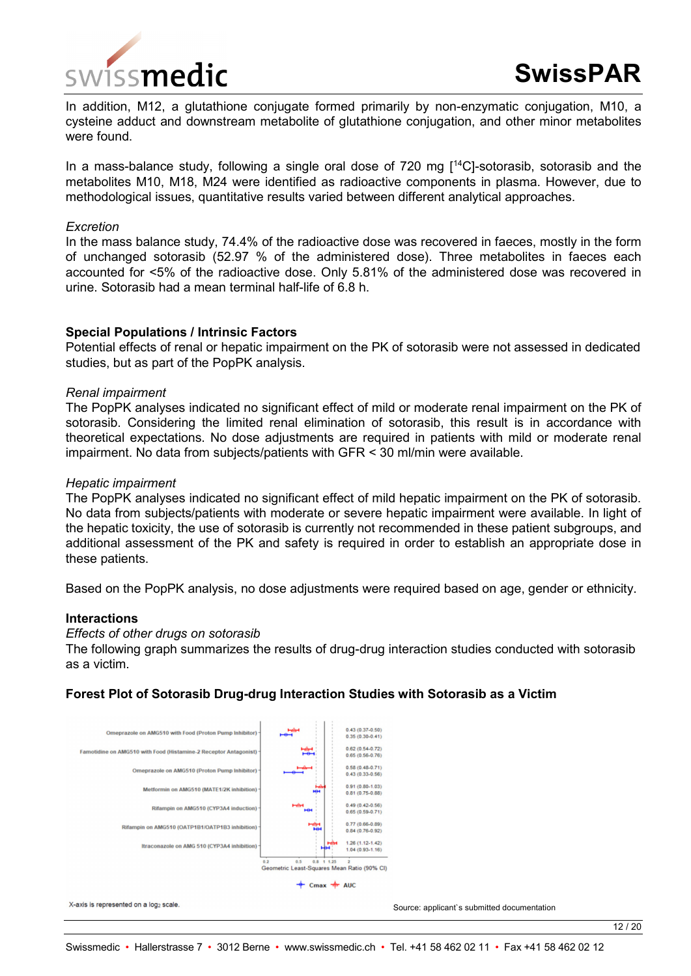

In addition, M12, a glutathione conjugate formed primarily by non-enzymatic conjugation, M10, a cysteine adduct and downstream metabolite of glutathione conjugation, and other minor metabolites were found.

In a mass-balance study, following a single oral dose of 720 mg  $[14C]$ -sotorasib, sotorasib and the metabolites M10, M18, M24 were identified as radioactive components in plasma. However, due to methodological issues, quantitative results varied between different analytical approaches.

#### *Excretion*

In the mass balance study, 74.4% of the radioactive dose was recovered in faeces, mostly in the form of unchanged sotorasib (52.97 % of the administered dose). Three metabolites in faeces each accounted for <5% of the radioactive dose. Only 5.81% of the administered dose was recovered in urine. Sotorasib had a mean terminal half-life of 6.8 h.

#### **Special Populations / Intrinsic Factors**

Potential effects of renal or hepatic impairment on the PK of sotorasib were not assessed in dedicated studies, but as part of the PopPK analysis.

#### *Renal impairment*

The PopPK analyses indicated no significant effect of mild or moderate renal impairment on the PK of sotorasib. Considering the limited renal elimination of sotorasib, this result is in accordance with theoretical expectations. No dose adjustments are required in patients with mild or moderate renal impairment. No data from subjects/patients with GFR < 30 ml/min were available.

#### *Hepatic impairment*

The PopPK analyses indicated no significant effect of mild hepatic impairment on the PK of sotorasib. No data from subjects/patients with moderate or severe hepatic impairment were available. In light of the hepatic toxicity, the use of sotorasib is currently not recommended in these patient subgroups, and additional assessment of the PK and safety is required in order to establish an appropriate dose in these patients.

Based on the PopPK analysis, no dose adjustments were required based on age, gender or ethnicity.

#### **Interactions**

#### *Effects of other drugs on sotorasib*

The following graph summarizes the results of drug-drug interaction studies conducted with sotorasib as a victim.

#### **Forest Plot of Sotorasib Drug-drug Interaction Studies with Sotorasib as a Victim**



X-axis is represented on a log<sub>2</sub> scale.

Source: applicant`s submitted documentation

12 / 20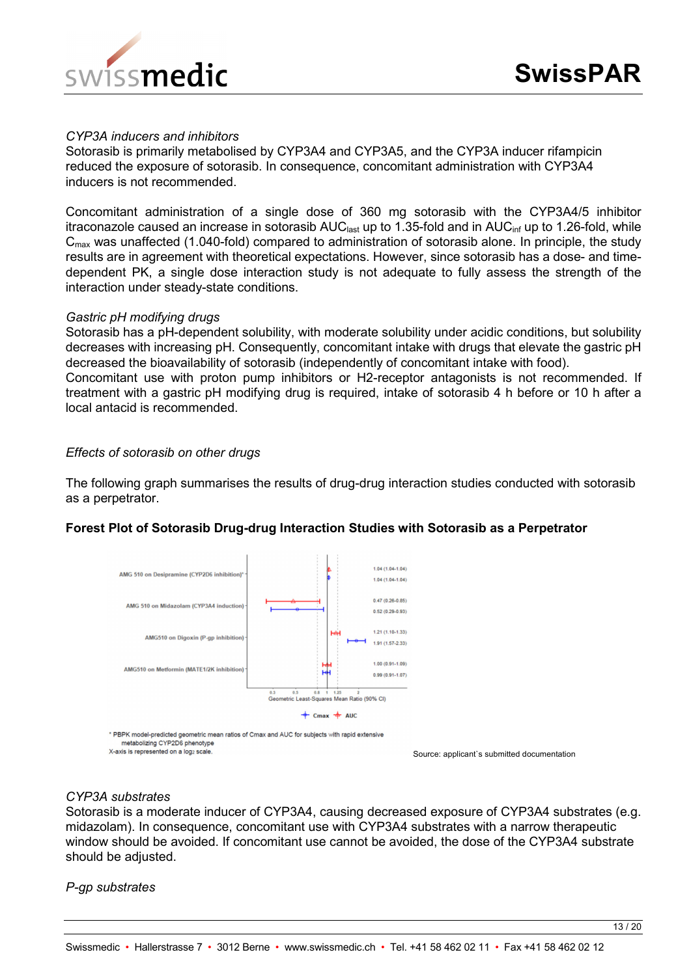

#### *CYP3A inducers and inhibitors*

Sotorasib is primarily metabolised by CYP3A4 and CYP3A5, and the CYP3A inducer rifampicin reduced the exposure of sotorasib. In consequence, concomitant administration with CYP3A4 inducers is not recommended.

Concomitant administration of a single dose of 360 mg sotorasib with the CYP3A4/5 inhibitor itraconazole caused an increase in sotorasib  $AUC_{last}$  up to 1.35-fold and in  $AUC_{inf}$  up to 1.26-fold, while  $C<sub>max</sub>$  was unaffected (1.040-fold) compared to administration of sotorasib alone. In principle, the study results are in agreement with theoretical expectations. However, since sotorasib has a dose- and timedependent PK, a single dose interaction study is not adequate to fully assess the strength of the interaction under steady-state conditions.

#### *Gastric pH modifying drugs*

Sotorasib has a pH-dependent solubility, with moderate solubility under acidic conditions, but solubility decreases with increasing pH. Consequently, concomitant intake with drugs that elevate the gastric pH decreased the bioavailability of sotorasib (independently of concomitant intake with food).

Concomitant use with proton pump inhibitors or H2-receptor antagonists is not recommended. If treatment with a gastric pH modifying drug is required, intake of sotorasib 4 h before or 10 h after a local antacid is recommended.

#### *Effects of sotorasib on other drugs*

The following graph summarises the results of drug-drug interaction studies conducted with sotorasib as a perpetrator.

#### **Forest Plot of Sotorasib Drug-drug Interaction Studies with Sotorasib as a Perpetrator**



metabolizing CYP2D6 phenotype X-axis is represented on a log2 scale

Source: applicant`s submitted documentation

## *CYP3A substrates*

Sotorasib is a moderate inducer of CYP3A4, causing decreased exposure of CYP3A4 substrates (e.g. midazolam). In consequence, concomitant use with CYP3A4 substrates with a narrow therapeutic window should be avoided. If concomitant use cannot be avoided, the dose of the CYP3A4 substrate should be adjusted.

*P-gp substrates*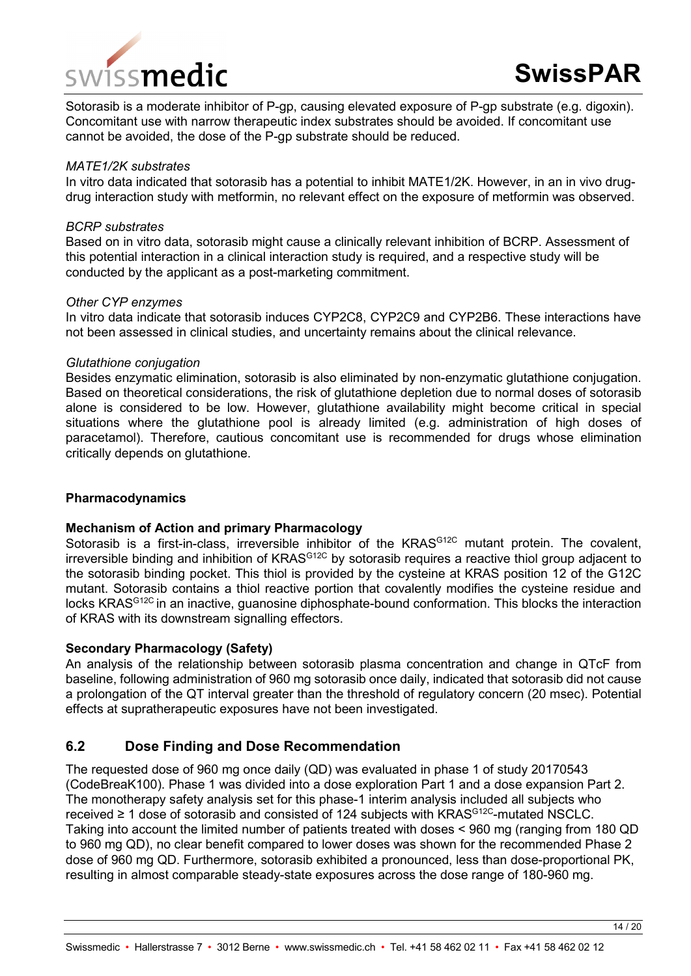

Sotorasib is a moderate inhibitor of P-gp, causing elevated exposure of P-gp substrate (e.g. digoxin). Concomitant use with narrow therapeutic index substrates should be avoided. If concomitant use cannot be avoided, the dose of the P-gp substrate should be reduced.

#### *MATE1/2K substrates*

In vitro data indicated that sotorasib has a potential to inhibit MATE1/2K. However, in an in vivo drugdrug interaction study with metformin, no relevant effect on the exposure of metformin was observed.

#### *BCRP substrates*

Based on in vitro data, sotorasib might cause a clinically relevant inhibition of BCRP. Assessment of this potential interaction in a clinical interaction study is required, and a respective study will be conducted by the applicant as a post-marketing commitment.

#### *Other CYP enzymes*

In vitro data indicate that sotorasib induces CYP2C8, CYP2C9 and CYP2B6. These interactions have not been assessed in clinical studies, and uncertainty remains about the clinical relevance.

#### *Glutathione conjugation*

Besides enzymatic elimination, sotorasib is also eliminated by non-enzymatic glutathione conjugation. Based on theoretical considerations, the risk of glutathione depletion due to normal doses of sotorasib alone is considered to be low. However, glutathione availability might become critical in special situations where the glutathione pool is already limited (e.g. administration of high doses of paracetamol). Therefore, cautious concomitant use is recommended for drugs whose elimination critically depends on glutathione.

### **Pharmacodynamics**

#### **Mechanism of Action and primary Pharmacology**

Sotorasib is a first-in-class, irreversible inhibitor of the KRAS<sup>G12C</sup> mutant protein. The covalent, irreversible binding and inhibition of KRASG12C by sotorasib requires a reactive thiol group adjacent to the sotorasib binding pocket. This thiol is provided by the cysteine at KRAS position 12 of the G12C mutant. Sotorasib contains a thiol reactive portion that covalently modifies the cysteine residue and locks KRAS<sup>G12C</sup> in an inactive, guanosine diphosphate-bound conformation. This blocks the interaction of KRAS with its downstream signalling effectors.

### **Secondary Pharmacology (Safety)**

An analysis of the relationship between sotorasib plasma concentration and change in QTcF from baseline, following administration of 960 mg sotorasib once daily, indicated that sotorasib did not cause a prolongation of the QT interval greater than the threshold of regulatory concern (20 msec). Potential effects at supratherapeutic exposures have not been investigated.

## **6.2 Dose Finding and Dose Recommendation**

The requested dose of 960 mg once daily (QD) was evaluated in phase 1 of study 20170543 (CodeBreaK100). Phase 1 was divided into a dose exploration Part 1 and a dose expansion Part 2. The monotherapy safety analysis set for this phase-1 interim analysis included all subjects who received ≥ 1 dose of sotorasib and consisted of 124 subjects with KRAS<sup>G12C</sup>-mutated NSCLC. Taking into account the limited number of patients treated with doses < 960 mg (ranging from 180 QD to 960 mg QD), no clear benefit compared to lower doses was shown for the recommended Phase 2 dose of 960 mg QD. Furthermore, sotorasib exhibited a pronounced, less than dose-proportional PK, resulting in almost comparable steady-state exposures across the dose range of 180-960 mg.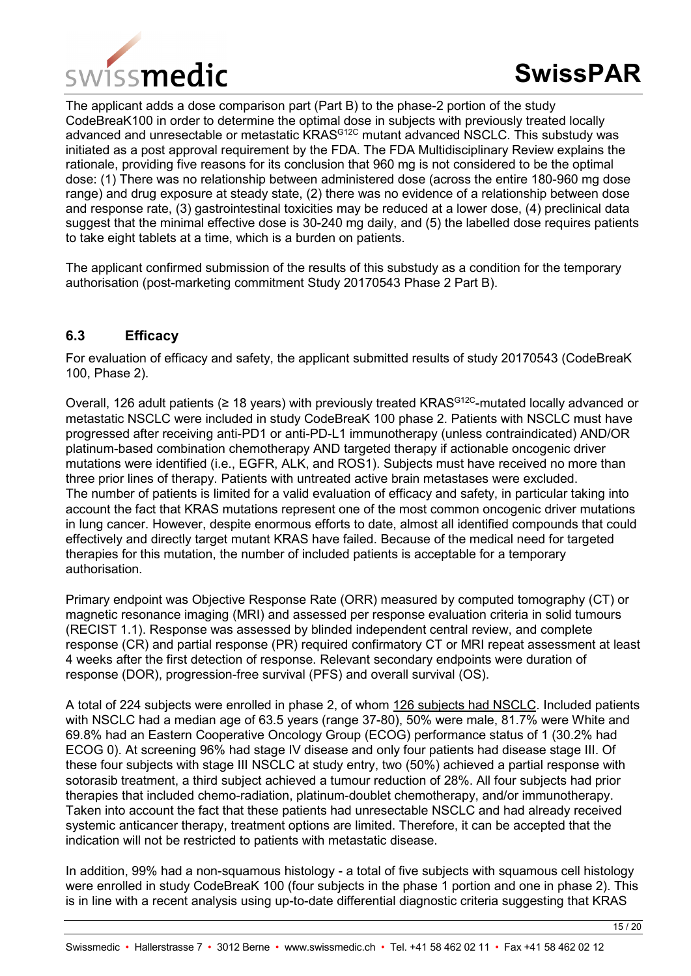

The applicant adds a dose comparison part (Part B) to the phase-2 portion of the study CodeBreaK100 in order to determine the optimal dose in subjects with previously treated locally advanced and unresectable or metastatic KRAS<sup>G12C</sup> mutant advanced NSCLC. This substudy was initiated as a post approval requirement by the FDA. The FDA Multidisciplinary Review explains the rationale, providing five reasons for its conclusion that 960 mg is not considered to be the optimal dose: (1) There was no relationship between administered dose (across the entire 180-960 mg dose range) and drug exposure at steady state, (2) there was no evidence of a relationship between dose and response rate, (3) gastrointestinal toxicities may be reduced at a lower dose, (4) preclinical data suggest that the minimal effective dose is 30-240 mg daily, and (5) the labelled dose requires patients to take eight tablets at a time, which is a burden on patients.

The applicant confirmed submission of the results of this substudy as a condition for the temporary authorisation (post-marketing commitment Study 20170543 Phase 2 Part B).

## **6.3 Efficacy**

For evaluation of efficacy and safety, the applicant submitted results of study 20170543 (CodeBreaK 100, Phase 2).

Overall, 126 adult patients (≥ 18 years) with previously treated KRAS<sup>G12C</sup>-mutated locally advanced or metastatic NSCLC were included in study CodeBreaK 100 phase 2. Patients with NSCLC must have progressed after receiving anti-PD1 or anti-PD-L1 immunotherapy (unless contraindicated) AND/OR platinum-based combination chemotherapy AND targeted therapy if actionable oncogenic driver mutations were identified (i.e., EGFR, ALK, and ROS1). Subjects must have received no more than three prior lines of therapy. Patients with untreated active brain metastases were excluded. The number of patients is limited for a valid evaluation of efficacy and safety, in particular taking into account the fact that KRAS mutations represent one of the most common oncogenic driver mutations in lung cancer. However, despite enormous efforts to date, almost all identified compounds that could effectively and directly target mutant KRAS have failed. Because of the medical need for targeted therapies for this mutation, the number of included patients is acceptable for a temporary authorisation.

Primary endpoint was Objective Response Rate (ORR) measured by computed tomography (CT) or magnetic resonance imaging (MRI) and assessed per response evaluation criteria in solid tumours (RECIST 1.1). Response was assessed by blinded independent central review, and complete response (CR) and partial response (PR) required confirmatory CT or MRI repeat assessment at least 4 weeks after the first detection of response. Relevant secondary endpoints were duration of response (DOR), progression-free survival (PFS) and overall survival (OS).

A total of 224 subjects were enrolled in phase 2, of whom 126 subjects had NSCLC. Included patients with NSCLC had a median age of 63.5 years (range 37-80), 50% were male, 81.7% were White and 69.8% had an Eastern Cooperative Oncology Group (ECOG) performance status of 1 (30.2% had ECOG 0). At screening 96% had stage IV disease and only four patients had disease stage III. Of these four subjects with stage III NSCLC at study entry, two (50%) achieved a partial response with sotorasib treatment, a third subject achieved a tumour reduction of 28%. All four subjects had prior therapies that included chemo-radiation, platinum-doublet chemotherapy, and/or immunotherapy. Taken into account the fact that these patients had unresectable NSCLC and had already received systemic anticancer therapy, treatment options are limited. Therefore, it can be accepted that the indication will not be restricted to patients with metastatic disease.

In addition, 99% had a non-squamous histology - a total of five subjects with squamous cell histology were enrolled in study CodeBreaK 100 (four subjects in the phase 1 portion and one in phase 2). This is in line with a recent analysis using up-to-date differential diagnostic criteria suggesting that KRAS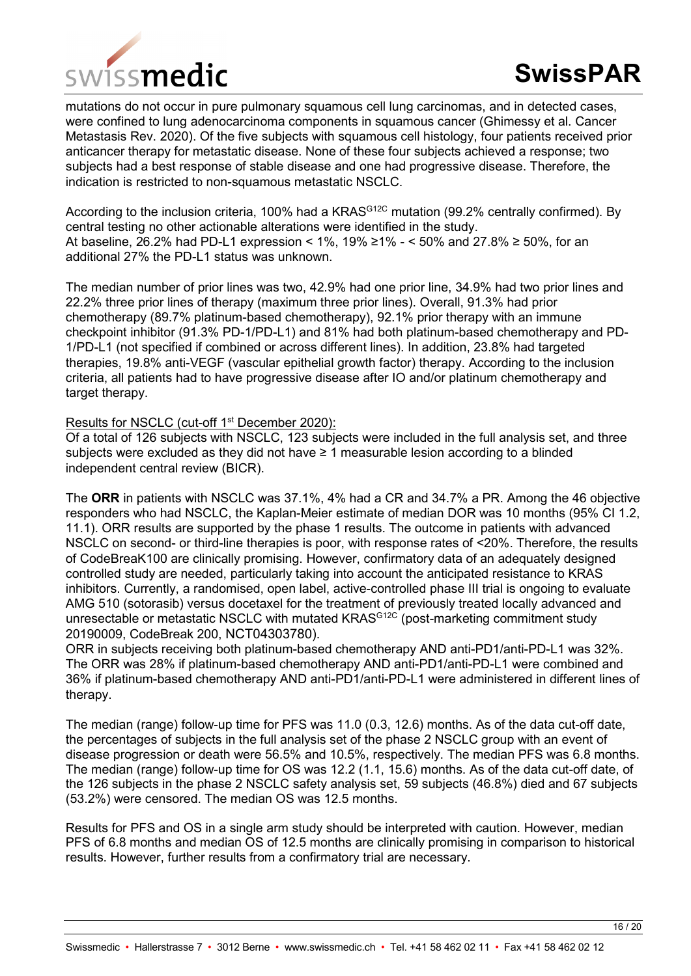

mutations do not occur in pure pulmonary squamous cell lung carcinomas, and in detected cases, were confined to lung adenocarcinoma components in squamous cancer (Ghimessy et al. Cancer Metastasis Rev. 2020). Of the five subjects with squamous cell histology, four patients received prior anticancer therapy for metastatic disease. None of these four subjects achieved a response; two subjects had a best response of stable disease and one had progressive disease. Therefore, the indication is restricted to non-squamous metastatic NSCLC.

According to the inclusion criteria, 100% had a KRAS<sup>G12C</sup> mutation (99.2% centrally confirmed). By central testing no other actionable alterations were identified in the study. At baseline, 26.2% had PD-L1 expression <  $1\%$ ,  $19\% \ge 1\% - 50\%$  and 27.8% ≥ 50%, for an additional 27% the PD-L1 status was unknown.

The median number of prior lines was two, 42.9% had one prior line, 34.9% had two prior lines and 22.2% three prior lines of therapy (maximum three prior lines). Overall, 91.3% had prior chemotherapy (89.7% platinum-based chemotherapy), 92.1% prior therapy with an immune checkpoint inhibitor (91.3% PD-1/PD-L1) and 81% had both platinum-based chemotherapy and PD-1/PD-L1 (not specified if combined or across different lines). In addition, 23.8% had targeted therapies, 19.8% anti-VEGF (vascular epithelial growth factor) therapy. According to the inclusion criteria, all patients had to have progressive disease after IO and/or platinum chemotherapy and target therapy.

#### Results for NSCLC (cut-off 1<sup>st</sup> December 2020):

Of a total of 126 subjects with NSCLC, 123 subjects were included in the full analysis set, and three subjects were excluded as they did not have ≥ 1 measurable lesion according to a blinded independent central review (BICR).

The **ORR** in patients with NSCLC was 37.1%, 4% had a CR and 34.7% a PR. Among the 46 objective responders who had NSCLC, the Kaplan-Meier estimate of median DOR was 10 months (95% CI 1.2, 11.1). ORR results are supported by the phase 1 results. The outcome in patients with advanced NSCLC on second- or third-line therapies is poor, with response rates of <20%. Therefore, the results of CodeBreaK100 are clinically promising. However, confirmatory data of an adequately designed controlled study are needed, particularly taking into account the anticipated resistance to KRAS inhibitors. Currently, a randomised, open label, active-controlled phase III trial is ongoing to evaluate AMG 510 (sotorasib) versus docetaxel for the treatment of previously treated locally advanced and unresectable or metastatic NSCLC with mutated KRAS<sup>G12C</sup> (post-marketing commitment study 20190009, CodeBreak 200, NCT04303780).

ORR in subjects receiving both platinum-based chemotherapy AND anti-PD1/anti-PD-L1 was 32%. The ORR was 28% if platinum-based chemotherapy AND anti-PD1/anti-PD-L1 were combined and 36% if platinum-based chemotherapy AND anti-PD1/anti-PD-L1 were administered in different lines of therapy.

The median (range) follow-up time for PFS was 11.0 (0.3, 12.6) months. As of the data cut-off date, the percentages of subjects in the full analysis set of the phase 2 NSCLC group with an event of disease progression or death were 56.5% and 10.5%, respectively. The median PFS was 6.8 months. The median (range) follow-up time for OS was 12.2 (1.1, 15.6) months. As of the data cut-off date, of the 126 subjects in the phase 2 NSCLC safety analysis set, 59 subjects (46.8%) died and 67 subjects (53.2%) were censored. The median OS was 12.5 months.

Results for PFS and OS in a single arm study should be interpreted with caution. However, median PFS of 6.8 months and median OS of 12.5 months are clinically promising in comparison to historical results. However, further results from a confirmatory trial are necessary.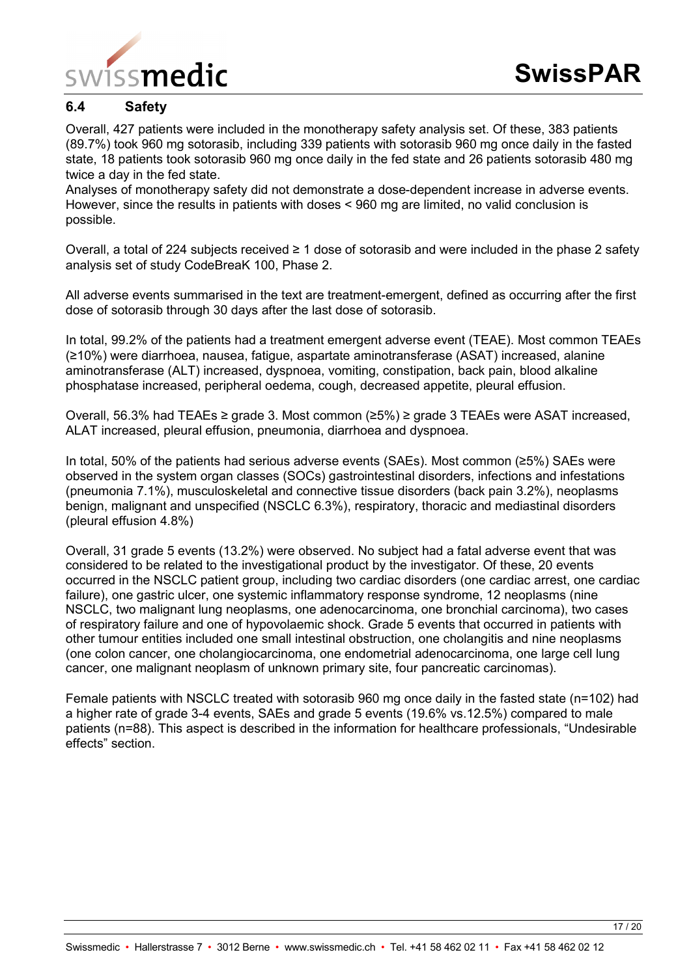

# **6.4 Safety**

Overall, 427 patients were included in the monotherapy safety analysis set. Of these, 383 patients (89.7%) took 960 mg sotorasib, including 339 patients with sotorasib 960 mg once daily in the fasted state, 18 patients took sotorasib 960 mg once daily in the fed state and 26 patients sotorasib 480 mg twice a day in the fed state.

Analyses of monotherapy safety did not demonstrate a dose-dependent increase in adverse events. However, since the results in patients with doses < 960 mg are limited, no valid conclusion is possible.

Overall, a total of 224 subjects received ≥ 1 dose of sotorasib and were included in the phase 2 safety analysis set of study CodeBreaK 100, Phase 2.

All adverse events summarised in the text are treatment-emergent, defined as occurring after the first dose of sotorasib through 30 days after the last dose of sotorasib.

In total, 99.2% of the patients had a treatment emergent adverse event (TEAE). Most common TEAEs (≥10%) were diarrhoea, nausea, fatigue, aspartate aminotransferase (ASAT) increased, alanine aminotransferase (ALT) increased, dyspnoea, vomiting, constipation, back pain, blood alkaline phosphatase increased, peripheral oedema, cough, decreased appetite, pleural effusion.

Overall, 56.3% had TEAEs ≥ grade 3. Most common (≥5%) ≥ grade 3 TEAEs were ASAT increased, ALAT increased, pleural effusion, pneumonia, diarrhoea and dyspnoea.

In total, 50% of the patients had serious adverse events (SAEs). Most common (≥5%) SAEs were observed in the system organ classes (SOCs) gastrointestinal disorders, infections and infestations (pneumonia 7.1%), musculoskeletal and connective tissue disorders (back pain 3.2%), neoplasms benign, malignant and unspecified (NSCLC 6.3%), respiratory, thoracic and mediastinal disorders (pleural effusion 4.8%)

Overall, 31 grade 5 events (13.2%) were observed. No subject had a fatal adverse event that was considered to be related to the investigational product by the investigator. Of these, 20 events occurred in the NSCLC patient group, including two cardiac disorders (one cardiac arrest, one cardiac failure), one gastric ulcer, one systemic inflammatory response syndrome, 12 neoplasms (nine NSCLC, two malignant lung neoplasms, one adenocarcinoma, one bronchial carcinoma), two cases of respiratory failure and one of hypovolaemic shock. Grade 5 events that occurred in patients with other tumour entities included one small intestinal obstruction, one cholangitis and nine neoplasms (one colon cancer, one cholangiocarcinoma, one endometrial adenocarcinoma, one large cell lung cancer, one malignant neoplasm of unknown primary site, four pancreatic carcinomas).

Female patients with NSCLC treated with sotorasib 960 mg once daily in the fasted state (n=102) had a higher rate of grade 3-4 events, SAEs and grade 5 events (19.6% vs.12.5%) compared to male patients (n=88). This aspect is described in the information for healthcare professionals, "Undesirable effects" section.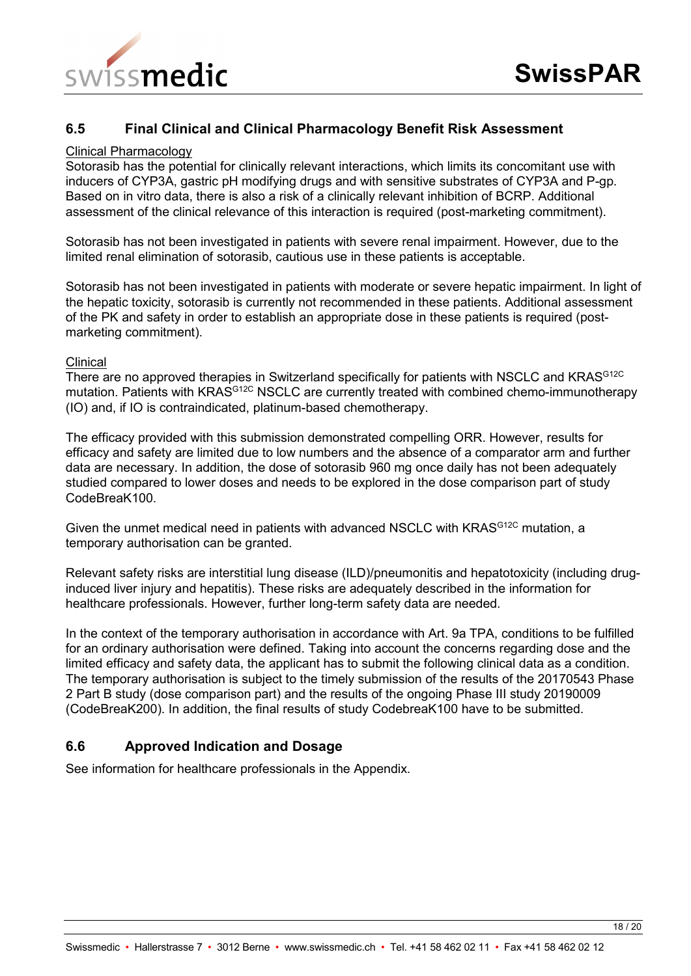

## **6.5 Final Clinical and Clinical Pharmacology Benefit Risk Assessment**

#### Clinical Pharmacology

Sotorasib has the potential for clinically relevant interactions, which limits its concomitant use with inducers of CYP3A, gastric pH modifying drugs and with sensitive substrates of CYP3A and P-gp. Based on in vitro data, there is also a risk of a clinically relevant inhibition of BCRP. Additional assessment of the clinical relevance of this interaction is required (post-marketing commitment).

Sotorasib has not been investigated in patients with severe renal impairment. However, due to the limited renal elimination of sotorasib, cautious use in these patients is acceptable.

Sotorasib has not been investigated in patients with moderate or severe hepatic impairment. In light of the hepatic toxicity, sotorasib is currently not recommended in these patients. Additional assessment of the PK and safety in order to establish an appropriate dose in these patients is required (postmarketing commitment).

#### **Clinical**

There are no approved therapies in Switzerland specifically for patients with NSCLC and KRAS<sup>G12C</sup> mutation. Patients with KRAS<sup>G12C</sup> NSCLC are currently treated with combined chemo-immunotherapy (IO) and, if IO is contraindicated, platinum-based chemotherapy.

The efficacy provided with this submission demonstrated compelling ORR. However, results for efficacy and safety are limited due to low numbers and the absence of a comparator arm and further data are necessary. In addition, the dose of sotorasib 960 mg once daily has not been adequately studied compared to lower doses and needs to be explored in the dose comparison part of study CodeBreaK100.

Given the unmet medical need in patients with advanced NSCLC with KRAS<sup>G12C</sup> mutation, a temporary authorisation can be granted.

Relevant safety risks are interstitial lung disease (ILD)/pneumonitis and hepatotoxicity (including druginduced liver injury and hepatitis). These risks are adequately described in the information for healthcare professionals. However, further long-term safety data are needed.

In the context of the temporary authorisation in accordance with Art. 9a TPA, conditions to be fulfilled for an ordinary authorisation were defined. Taking into account the concerns regarding dose and the limited efficacy and safety data, the applicant has to submit the following clinical data as a condition. The temporary authorisation is subject to the timely submission of the results of the 20170543 Phase 2 Part B study (dose comparison part) and the results of the ongoing Phase III study 20190009 (CodeBreaK200). In addition, the final results of study CodebreaK100 have to be submitted.

## **6.6 Approved Indication and Dosage**

See information for healthcare professionals in the Appendix.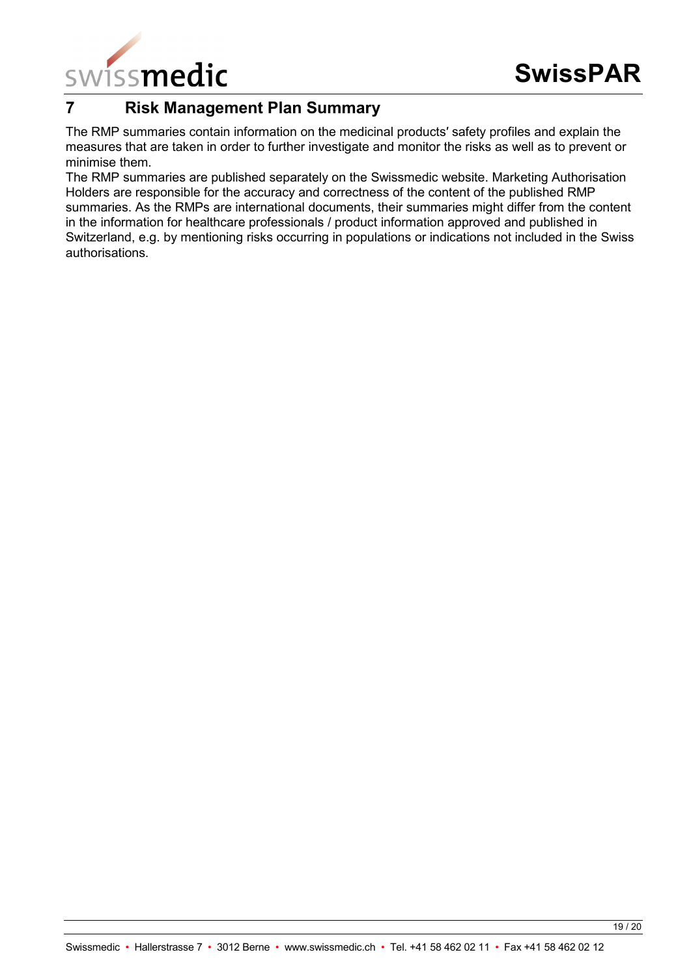

# **7 Risk Management Plan Summary**

The RMP summaries contain information on the medicinal products′ safety profiles and explain the measures that are taken in order to further investigate and monitor the risks as well as to prevent or minimise them.

The RMP summaries are published separately on the Swissmedic website. Marketing Authorisation Holders are responsible for the accuracy and correctness of the content of the published RMP summaries. As the RMPs are international documents, their summaries might differ from the content in the information for healthcare professionals / product information approved and published in Switzerland, e.g. by mentioning risks occurring in populations or indications not included in the Swiss authorisations.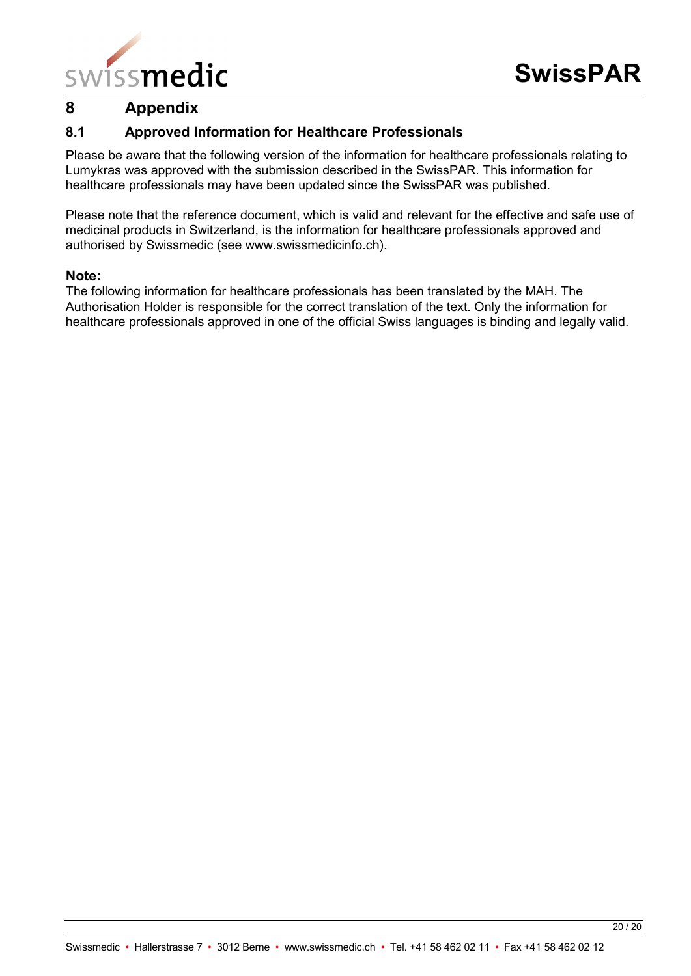

# **8 Appendix**

# **8.1 Approved Information for Healthcare Professionals**

Please be aware that the following version of the information for healthcare professionals relating to Lumykras was approved with the submission described in the SwissPAR. This information for healthcare professionals may have been updated since the SwissPAR was published.

Please note that the reference document, which is valid and relevant for the effective and safe use of medicinal products in Switzerland, is the information for healthcare professionals approved and authorised by Swissmedic (see www.swissmedicinfo.ch).

### **Note:**

The following information for healthcare professionals has been translated by the MAH. The Authorisation Holder is responsible for the correct translation of the text. Only the information for healthcare professionals approved in one of the official Swiss languages is binding and legally valid.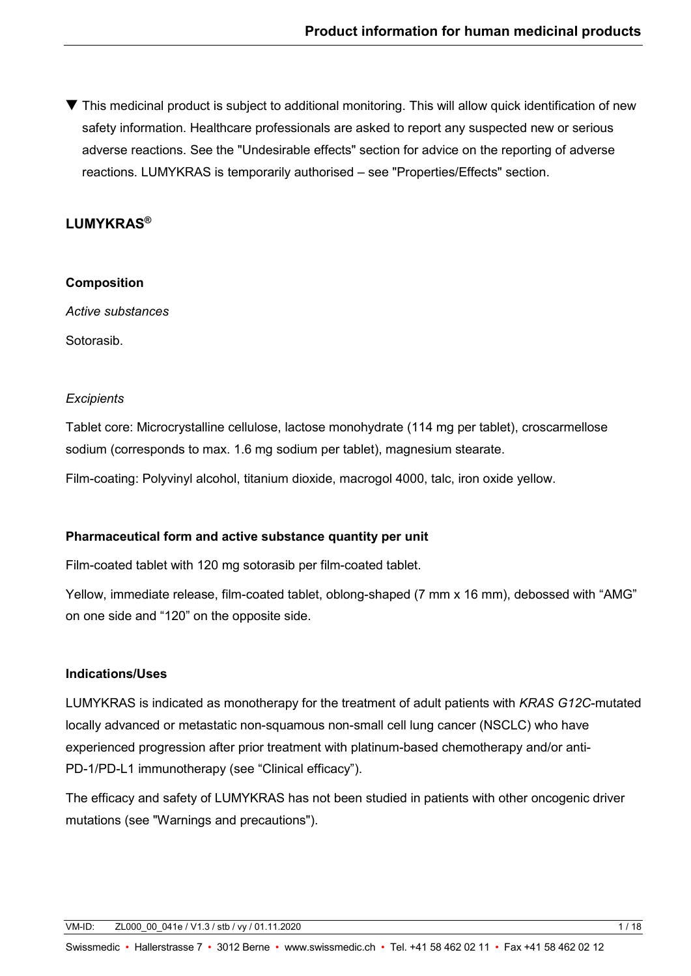▼ This medicinal product is subject to additional monitoring. This will allow quick identification of new safety information. Healthcare professionals are asked to report any suspected new or serious adverse reactions. See the "Undesirable effects" section for advice on the reporting of adverse reactions. LUMYKRAS is temporarily authorised – see "Properties/Effects" section.

# **LUMYKRAS®**

## **Composition**

*Active substances*

Sotorasib.

## *Excipients*

Tablet core: Microcrystalline cellulose, lactose monohydrate (114 mg per tablet), croscarmellose sodium (corresponds to max. 1.6 mg sodium per tablet), magnesium stearate.

Film-coating: Polyvinyl alcohol, titanium dioxide, macrogol 4000, talc, iron oxide yellow.

## **Pharmaceutical form and active substance quantity per unit**

Film-coated tablet with 120 mg sotorasib per film-coated tablet.

Yellow, immediate release, film-coated tablet, oblong-shaped (7 mm x 16 mm), debossed with "AMG" on one side and "120" on the opposite side.

## **Indications/Uses**

LUMYKRAS is indicated as monotherapy for the treatment of adult patients with *KRAS G12C*-mutated locally advanced or metastatic non-squamous non-small cell lung cancer (NSCLC) who have experienced progression after prior treatment with platinum-based chemotherapy and/or anti-PD-1/PD-L1 immunotherapy (see "Clinical efficacy").

The efficacy and safety of LUMYKRAS has not been studied in patients with other oncogenic driver mutations (see "Warnings and precautions").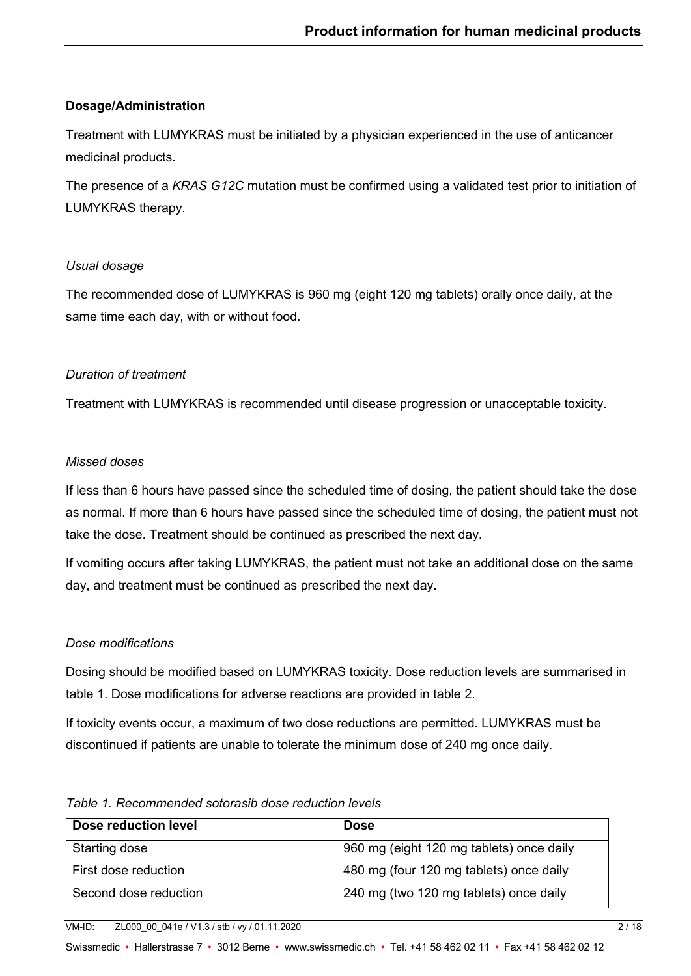## **Dosage/Administration**

Treatment with LUMYKRAS must be initiated by a physician experienced in the use of anticancer medicinal products.

The presence of a *KRAS G12C* mutation must be confirmed using a validated test prior to initiation of LUMYKRAS therapy.

### *Usual dosage*

The recommended dose of LUMYKRAS is 960 mg (eight 120 mg tablets) orally once daily, at the same time each day, with or without food.

## *Duration of treatment*

Treatment with LUMYKRAS is recommended until disease progression or unacceptable toxicity.

## *Missed doses*

If less than 6 hours have passed since the scheduled time of dosing, the patient should take the dose as normal. If more than 6 hours have passed since the scheduled time of dosing, the patient must not take the dose. Treatment should be continued as prescribed the next day.

If vomiting occurs after taking LUMYKRAS, the patient must not take an additional dose on the same day, and treatment must be continued as prescribed the next day.

## *Dose modifications*

Dosing should be modified based on LUMYKRAS toxicity. Dose reduction levels are summarised in table 1. Dose modifications for adverse reactions are provided in table 2.

If toxicity events occur, a maximum of two dose reductions are permitted. LUMYKRAS must be discontinued if patients are unable to tolerate the minimum dose of 240 mg once daily.

| Dose reduction level  | <b>Dose</b>                              |
|-----------------------|------------------------------------------|
| Starting dose         | 960 mg (eight 120 mg tablets) once daily |
| First dose reduction  | 480 mg (four 120 mg tablets) once daily  |
| Second dose reduction | 240 mg (two 120 mg tablets) once daily   |

#### *Table 1. Recommended sotorasib dose reduction levels*

VM-ID: ZL000\_00\_041e / V1.3 / stb / vy / 01.11.2020 2 / 18

Swissmedic • Hallerstrasse 7 • 3012 Berne • www.swissmedic.ch • Tel. +41 58 462 02 11 • Fax +41 58 462 02 12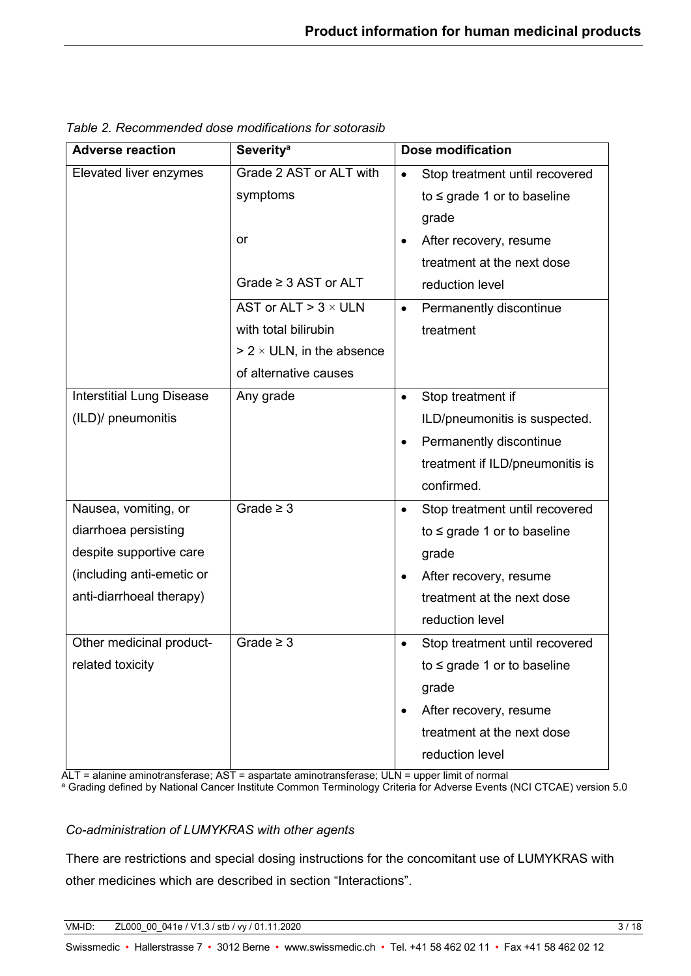| <b>Adverse reaction</b>          | <b>Severity<sup>a</sup></b>      |           | Dose modification                |  |
|----------------------------------|----------------------------------|-----------|----------------------------------|--|
| Elevated liver enzymes           | Grade 2 AST or ALT with          | $\bullet$ | Stop treatment until recovered   |  |
|                                  | symptoms                         |           | to $\leq$ grade 1 or to baseline |  |
|                                  |                                  |           | grade                            |  |
|                                  | or                               | $\bullet$ | After recovery, resume           |  |
|                                  |                                  |           | treatment at the next dose       |  |
|                                  | Grade $\geq$ 3 AST or ALT        |           | reduction level                  |  |
|                                  | AST or ALT > $3 \times$ ULN      | $\bullet$ | Permanently discontinue          |  |
|                                  | with total bilirubin             |           | treatment                        |  |
|                                  | $> 2 \times$ ULN, in the absence |           |                                  |  |
|                                  | of alternative causes            |           |                                  |  |
| <b>Interstitial Lung Disease</b> | Any grade                        | $\bullet$ | Stop treatment if                |  |
| (ILD)/ pneumonitis               |                                  |           | ILD/pneumonitis is suspected.    |  |
|                                  |                                  | $\bullet$ | Permanently discontinue          |  |
|                                  |                                  |           | treatment if ILD/pneumonitis is  |  |
|                                  |                                  |           | confirmed.                       |  |
| Nausea, vomiting, or             | Grade $\geq 3$                   | $\bullet$ | Stop treatment until recovered   |  |
| diarrhoea persisting             |                                  |           | to $\leq$ grade 1 or to baseline |  |
| despite supportive care          |                                  |           | grade                            |  |
| (including anti-emetic or        |                                  | $\bullet$ | After recovery, resume           |  |
| anti-diarrhoeal therapy)         |                                  |           | treatment at the next dose       |  |
|                                  |                                  |           | reduction level                  |  |
| Other medicinal product-         | Grade $\geq$ 3                   | $\bullet$ | Stop treatment until recovered   |  |
| related toxicity                 |                                  |           | to $\leq$ grade 1 or to baseline |  |
|                                  |                                  |           | grade                            |  |
|                                  |                                  | $\bullet$ | After recovery, resume           |  |
|                                  |                                  |           | treatment at the next dose       |  |
|                                  |                                  |           | reduction level                  |  |

*Table 2. Recommended dose modifications for sotorasib*

ALT = alanine aminotransferase; AST = aspartate aminotransferase; ULN = upper limit of normal <sup>a</sup> Grading defined by National Cancer Institute Common Terminology Criteria for Adverse Events (NCI CTCAE) version 5.0

# *Co-administration of LUMYKRAS with other agents*

There are restrictions and special dosing instructions for the concomitant use of LUMYKRAS with other medicines which are described in section "Interactions".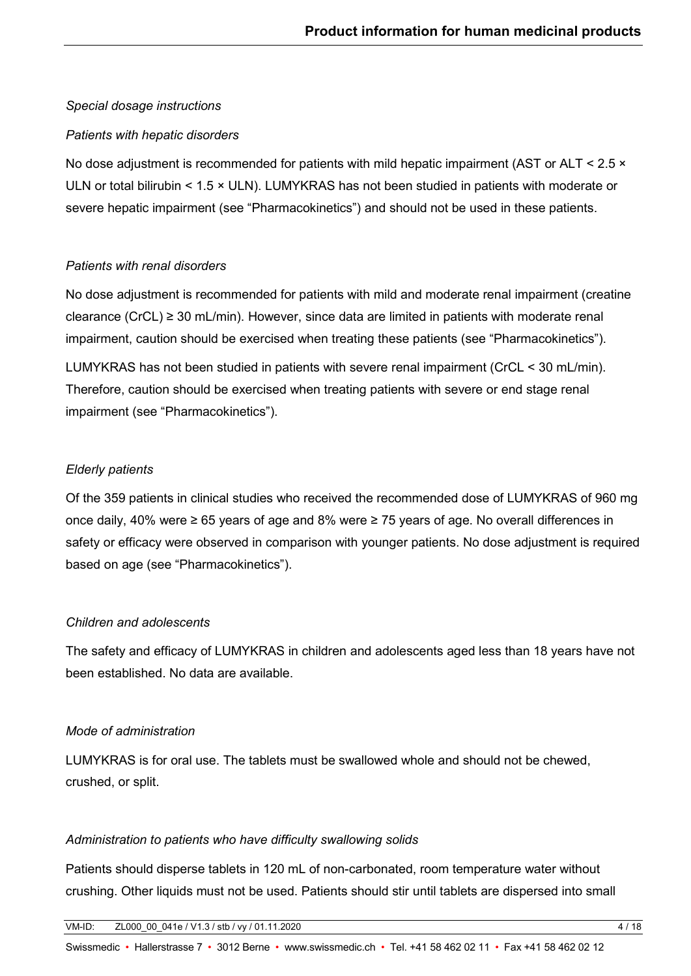## *Special dosage instructions*

## *Patients with hepatic disorders*

No dose adjustment is recommended for patients with mild hepatic impairment (AST or ALT < 2.5  $\times$ ULN or total bilirubin < 1.5 × ULN). LUMYKRAS has not been studied in patients with moderate or severe hepatic impairment (see "Pharmacokinetics") and should not be used in these patients.

## *Patients with renal disorders*

No dose adjustment is recommended for patients with mild and moderate renal impairment (creatine clearance (CrCL) ≥ 30 mL/min). However, since data are limited in patients with moderate renal impairment, caution should be exercised when treating these patients (see "Pharmacokinetics").

LUMYKRAS has not been studied in patients with severe renal impairment (CrCL < 30 mL/min). Therefore, caution should be exercised when treating patients with severe or end stage renal impairment (see "Pharmacokinetics").

## *Elderly patients*

Of the 359 patients in clinical studies who received the recommended dose of LUMYKRAS of 960 mg once daily, 40% were ≥ 65 years of age and 8% were ≥ 75 years of age. No overall differences in safety or efficacy were observed in comparison with younger patients. No dose adjustment is required based on age (see "Pharmacokinetics").

### *Children and adolescents*

The safety and efficacy of LUMYKRAS in children and adolescents aged less than 18 years have not been established. No data are available.

## *Mode of administration*

LUMYKRAS is for oral use. The tablets must be swallowed whole and should not be chewed, crushed, or split.

### *Administration to patients who have difficulty swallowing solids*

Patients should disperse tablets in 120 mL of non-carbonated, room temperature water without crushing. Other liquids must not be used. Patients should stir until tablets are dispersed into small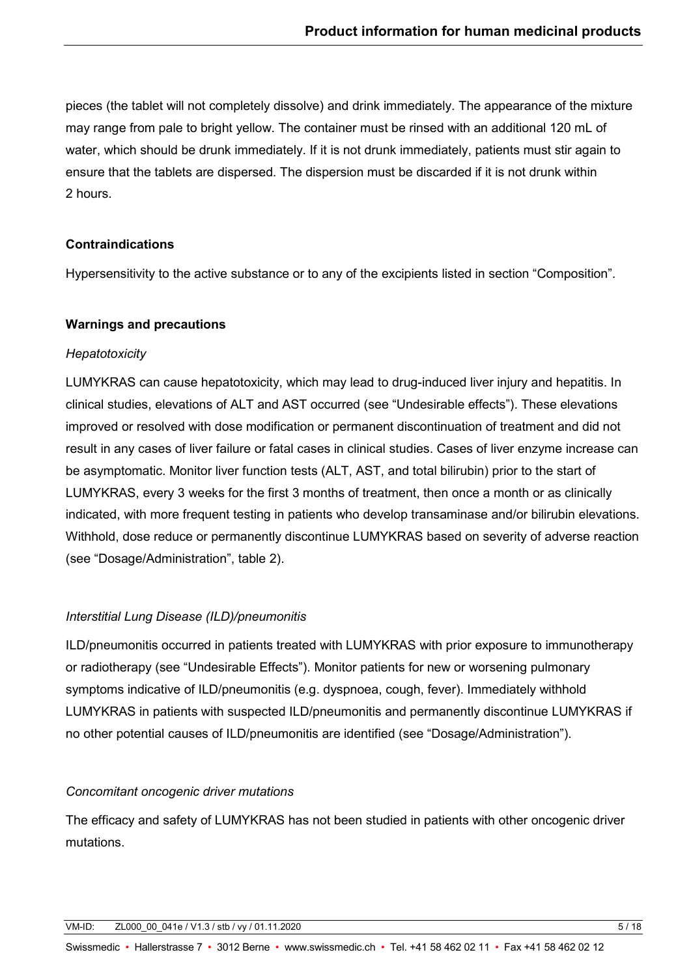pieces (the tablet will not completely dissolve) and drink immediately. The appearance of the mixture may range from pale to bright yellow. The container must be rinsed with an additional 120 mL of water, which should be drunk immediately. If it is not drunk immediately, patients must stir again to ensure that the tablets are dispersed. The dispersion must be discarded if it is not drunk within 2 hours.

## **Contraindications**

Hypersensitivity to the active substance or to any of the excipients listed in section "Composition".

# **Warnings and precautions**

## *Hepatotoxicity*

LUMYKRAS can cause hepatotoxicity, which may lead to drug-induced liver injury and hepatitis. In clinical studies, elevations of ALT and AST occurred (see "Undesirable effects"). These elevations improved or resolved with dose modification or permanent discontinuation of treatment and did not result in any cases of liver failure or fatal cases in clinical studies. Cases of liver enzyme increase can be asymptomatic. Monitor liver function tests (ALT, AST, and total bilirubin) prior to the start of LUMYKRAS, every 3 weeks for the first 3 months of treatment, then once a month or as clinically indicated, with more frequent testing in patients who develop transaminase and/or bilirubin elevations. Withhold, dose reduce or permanently discontinue LUMYKRAS based on severity of adverse reaction (see "Dosage/Administration", table 2).

# *Interstitial Lung Disease (ILD)/pneumonitis*

ILD/pneumonitis occurred in patients treated with LUMYKRAS with prior exposure to immunotherapy or radiotherapy (see "Undesirable Effects"). Monitor patients for new or worsening pulmonary symptoms indicative of ILD/pneumonitis (e.g. dyspnoea, cough, fever). Immediately withhold LUMYKRAS in patients with suspected ILD/pneumonitis and permanently discontinue LUMYKRAS if no other potential causes of ILD/pneumonitis are identified (see "Dosage/Administration").

# *Concomitant oncogenic driver mutations*

The efficacy and safety of LUMYKRAS has not been studied in patients with other oncogenic driver mutations.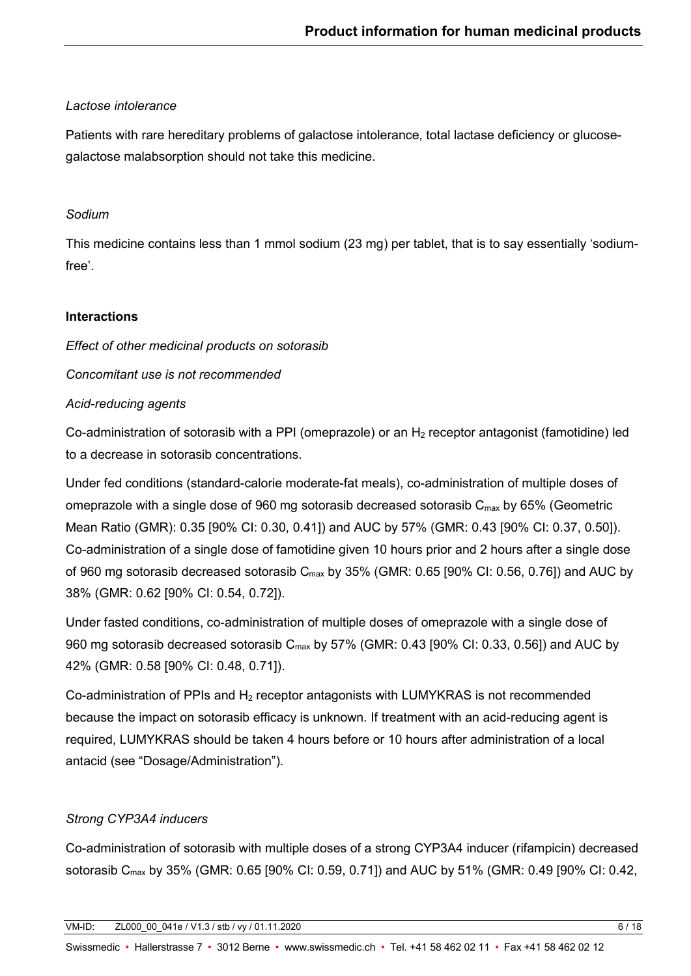## *Lactose intolerance*

Patients with rare hereditary problems of galactose intolerance, total lactase deficiency or glucosegalactose malabsorption should not take this medicine.

# *Sodium*

This medicine contains less than 1 mmol sodium (23 mg) per tablet, that is to say essentially 'sodiumfree'.

## **Interactions**

*Effect of other medicinal products on sotorasib*

*Concomitant use is not recommended*

# *Acid-reducing agents*

Co-administration of sotorasib with a PPI (omeprazole) or an  $H_2$  receptor antagonist (famotidine) led to a decrease in sotorasib concentrations.

Under fed conditions (standard-calorie moderate-fat meals), co-administration of multiple doses of omeprazole with a single dose of 960 mg sotorasib decreased sotorasib  $C_{\text{max}}$  by 65% (Geometric Mean Ratio (GMR): 0.35 [90% CI: 0.30, 0.41]) and AUC by 57% (GMR: 0.43 [90% CI: 0.37, 0.50]). Co-administration of a single dose of famotidine given 10 hours prior and 2 hours after a single dose of 960 mg sotorasib decreased sotorasib  $C_{\text{max}}$  by 35% (GMR: 0.65 [90% CI: 0.56, 0.76]) and AUC by 38% (GMR: 0.62 [90% CI: 0.54, 0.72]).

Under fasted conditions, co-administration of multiple doses of omeprazole with a single dose of 960 mg sotorasib decreased sotorasib  $C_{\text{max}}$  by 57% (GMR: 0.43 [90% CI: 0.33, 0.56]) and AUC by 42% (GMR: 0.58 [90% CI: 0.48, 0.71]).

Co-administration of PPIs and  $H_2$  receptor antagonists with LUMYKRAS is not recommended because the impact on sotorasib efficacy is unknown. If treatment with an acid-reducing agent is required, LUMYKRAS should be taken 4 hours before or 10 hours after administration of a local antacid (see "Dosage/Administration").

# *Strong CYP3A4 inducers*

Co-administration of sotorasib with multiple doses of a strong CYP3A4 inducer (rifampicin) decreased sotorasib C<sub>max</sub> by 35% (GMR: 0.65 [90% CI: 0.59, 0.71]) and AUC by 51% (GMR: 0.49 [90% CI: 0.42,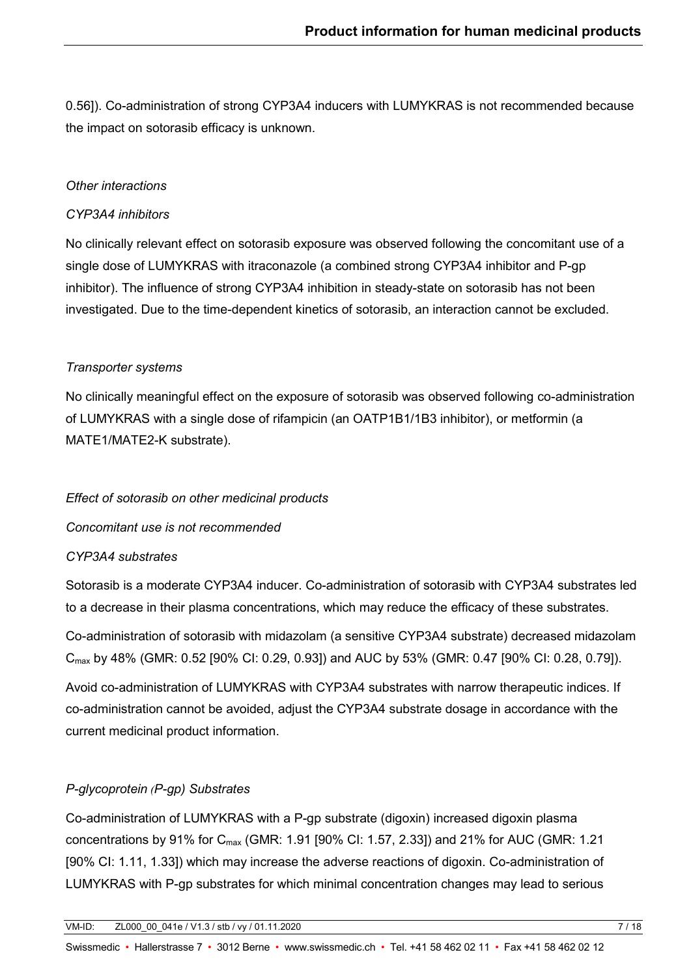0.56]). Co-administration of strong CYP3A4 inducers with LUMYKRAS is not recommended because the impact on sotorasib efficacy is unknown.

## *Other interactions*

## *CYP3A4 inhibitors*

No clinically relevant effect on sotorasib exposure was observed following the concomitant use of a single dose of LUMYKRAS with itraconazole (a combined strong CYP3A4 inhibitor and P-gp inhibitor). The influence of strong CYP3A4 inhibition in steady-state on sotorasib has not been investigated. Due to the time-dependent kinetics of sotorasib, an interaction cannot be excluded.

## *Transporter systems*

No clinically meaningful effect on the exposure of sotorasib was observed following co-administration of LUMYKRAS with a single dose of rifampicin (an OATP1B1/1B3 inhibitor), or metformin (a MATE1/MATE2-K substrate).

## *Effect of sotorasib on other medicinal products*

*Concomitant use is not recommended*

## *CYP3A4 substrates*

Sotorasib is a moderate CYP3A4 inducer. Co-administration of sotorasib with CYP3A4 substrates led to a decrease in their plasma concentrations, which may reduce the efficacy of these substrates.

Co-administration of sotorasib with midazolam (a sensitive CYP3A4 substrate) decreased midazolam Cmax by 48% (GMR: 0.52 [90% CI: 0.29, 0.93]) and AUC by 53% (GMR: 0.47 [90% CI: 0.28, 0.79]).

Avoid co-administration of LUMYKRAS with CYP3A4 substrates with narrow therapeutic indices. If co-administration cannot be avoided, adjust the CYP3A4 substrate dosage in accordance with the current medicinal product information.

## *P-glycoprotein (P-gp) Substrates*

Co-administration of LUMYKRAS with a P-gp substrate (digoxin) increased digoxin plasma concentrations by 91% for C<sub>max</sub> (GMR: 1.91 [90% CI: 1.57, 2.33]) and 21% for AUC (GMR: 1.21 [90% CI: 1.11, 1.33]) which may increase the adverse reactions of digoxin. Co-administration of LUMYKRAS with P-gp substrates for which minimal concentration changes may lead to serious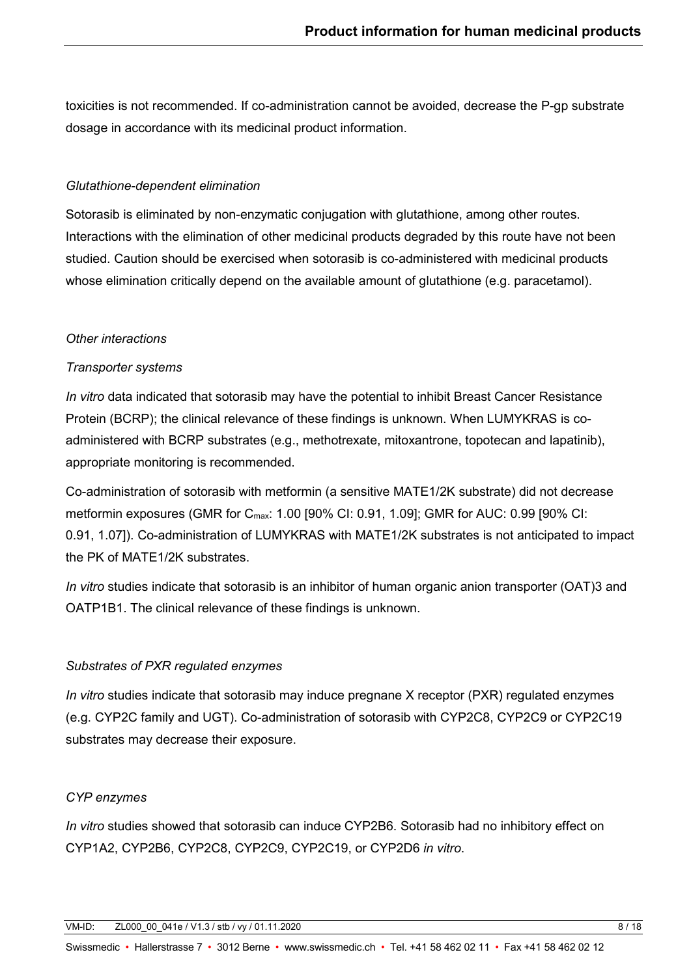toxicities is not recommended. If co-administration cannot be avoided, decrease the P-gp substrate dosage in accordance with its medicinal product information.

### *Glutathione-dependent elimination*

Sotorasib is eliminated by non-enzymatic conjugation with glutathione, among other routes. Interactions with the elimination of other medicinal products degraded by this route have not been studied. Caution should be exercised when sotorasib is co-administered with medicinal products whose elimination critically depend on the available amount of glutathione (e.g. paracetamol).

## *Other interactions*

## *Transporter systems*

*In vitro* data indicated that sotorasib may have the potential to inhibit Breast Cancer Resistance Protein (BCRP); the clinical relevance of these findings is unknown. When LUMYKRAS is coadministered with BCRP substrates (e.g., methotrexate, mitoxantrone, topotecan and lapatinib), appropriate monitoring is recommended.

Co-administration of sotorasib with metformin (a sensitive MATE1/2K substrate) did not decrease metformin exposures (GMR for C<sub>max</sub>: 1.00 [90% CI: 0.91, 1.09]; GMR for AUC: 0.99 [90% CI: 0.91, 1.07]). Co-administration of LUMYKRAS with MATE1/2K substrates is not anticipated to impact the PK of MATE1/2K substrates.

*In vitro* studies indicate that sotorasib is an inhibitor of human organic anion transporter (OAT)3 and OATP1B1. The clinical relevance of these findings is unknown.

## *Substrates of PXR regulated enzymes*

*In vitro* studies indicate that sotorasib may induce pregnane X receptor (PXR) regulated enzymes (e.g. CYP2C family and UGT). Co-administration of sotorasib with CYP2C8, CYP2C9 or CYP2C19 substrates may decrease their exposure.

## *CYP enzymes*

*In vitro* studies showed that sotorasib can induce CYP2B6. Sotorasib had no inhibitory effect on CYP1A2, CYP2B6, CYP2C8, CYP2C9, CYP2C19, or CYP2D6 *in vitro*.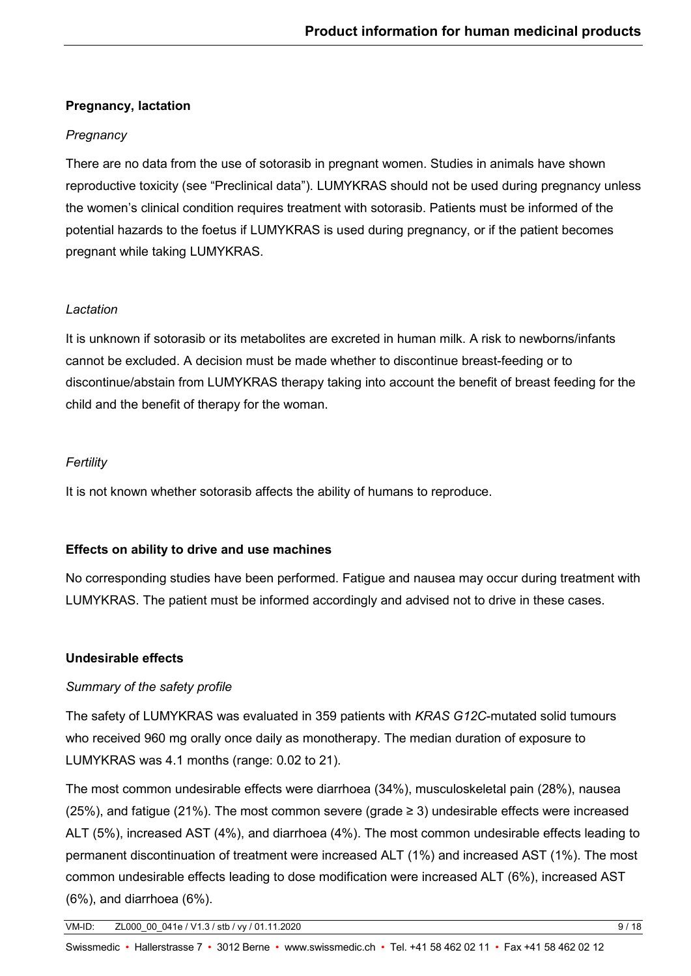# **Pregnancy, lactation**

# *Pregnancy*

There are no data from the use of sotorasib in pregnant women. Studies in animals have shown reproductive toxicity (see "Preclinical data"). LUMYKRAS should not be used during pregnancy unless the women's clinical condition requires treatment with sotorasib. Patients must be informed of the potential hazards to the foetus if LUMYKRAS is used during pregnancy, or if the patient becomes pregnant while taking LUMYKRAS.

# *Lactation*

It is unknown if sotorasib or its metabolites are excreted in human milk. A risk to newborns/infants cannot be excluded. A decision must be made whether to discontinue breast-feeding or to discontinue/abstain from LUMYKRAS therapy taking into account the benefit of breast feeding for the child and the benefit of therapy for the woman.

# *Fertility*

It is not known whether sotorasib affects the ability of humans to reproduce.

# **Effects on ability to drive and use machines**

No corresponding studies have been performed. Fatigue and nausea may occur during treatment with LUMYKRAS. The patient must be informed accordingly and advised not to drive in these cases.

# **Undesirable effects**

# *Summary of the safety profile*

The safety of LUMYKRAS was evaluated in 359 patients with *KRAS G12C*-mutated solid tumours who received 960 mg orally once daily as monotherapy. The median duration of exposure to LUMYKRAS was 4.1 months (range: 0.02 to 21).

The most common undesirable effects were diarrhoea (34%), musculoskeletal pain (28%), nausea (25%), and fatigue (21%). The most common severe (grade  $\geq$  3) undesirable effects were increased ALT (5%), increased AST (4%), and diarrhoea (4%). The most common undesirable effects leading to permanent discontinuation of treatment were increased ALT (1%) and increased AST (1%). The most common undesirable effects leading to dose modification were increased ALT (6%), increased AST (6%), and diarrhoea (6%).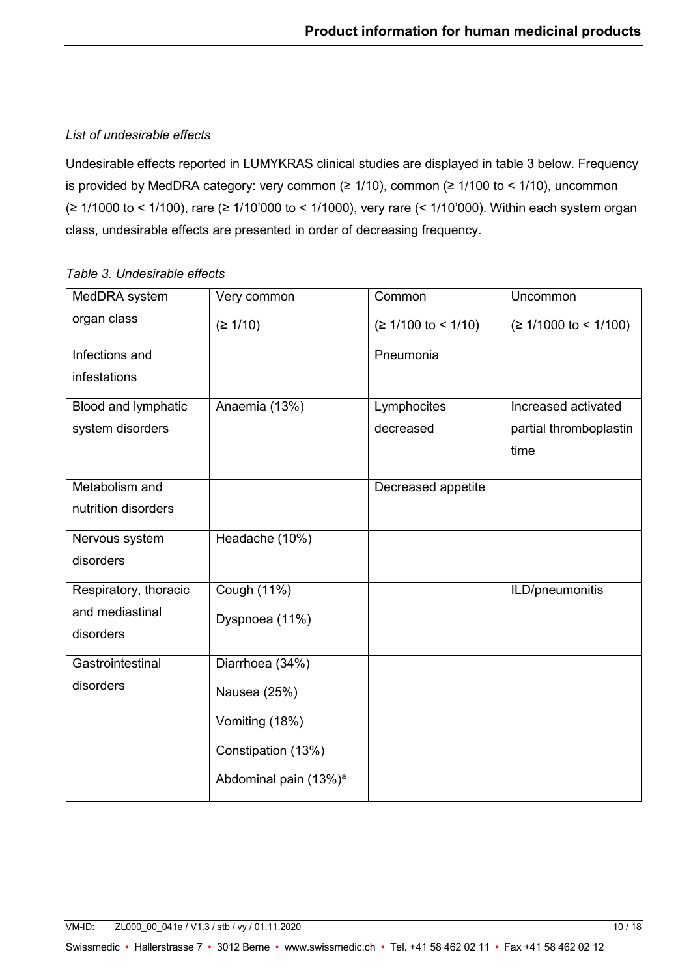# *List of undesirable effects*

Undesirable effects reported in LUMYKRAS clinical studies are displayed in table 3 below. Frequency is provided by MedDRA category: very common ( $\geq 1/10$ ), common ( $\geq 1/100$  to < 1/10), uncommon (≥ 1/1000 to < 1/100), rare (≥ 1/10'000 to < 1/1000), very rare (< 1/10'000). Within each system organ class, undesirable effects are presented in order of decreasing frequency.

# *Table 3. Undesirable effects*

| MedDRA system         | Very common                       | Common                | Uncommon                |
|-----------------------|-----------------------------------|-----------------------|-------------------------|
| organ class           | (≥ 1/10)                          | $(≥ 1/100$ to < 1/10) | $(≥ 1/1000$ to < 1/100) |
| Infections and        |                                   | Pneumonia             |                         |
| infestations          |                                   |                       |                         |
| Blood and lymphatic   | Anaemia (13%)                     | Lymphocites           | Increased activated     |
| system disorders      |                                   | decreased             | partial thromboplastin  |
|                       |                                   |                       | time                    |
| Metabolism and        |                                   | Decreased appetite    |                         |
| nutrition disorders   |                                   |                       |                         |
| Nervous system        | Headache (10%)                    |                       |                         |
| disorders             |                                   |                       |                         |
| Respiratory, thoracic | Cough (11%)                       |                       | ILD/pneumonitis         |
| and mediastinal       | Dyspnoea (11%)                    |                       |                         |
| disorders             |                                   |                       |                         |
| Gastrointestinal      | Diarrhoea (34%)                   |                       |                         |
| disorders             | Nausea (25%)                      |                       |                         |
|                       | Vomiting (18%)                    |                       |                         |
|                       | Constipation (13%)                |                       |                         |
|                       | Abdominal pain (13%) <sup>a</sup> |                       |                         |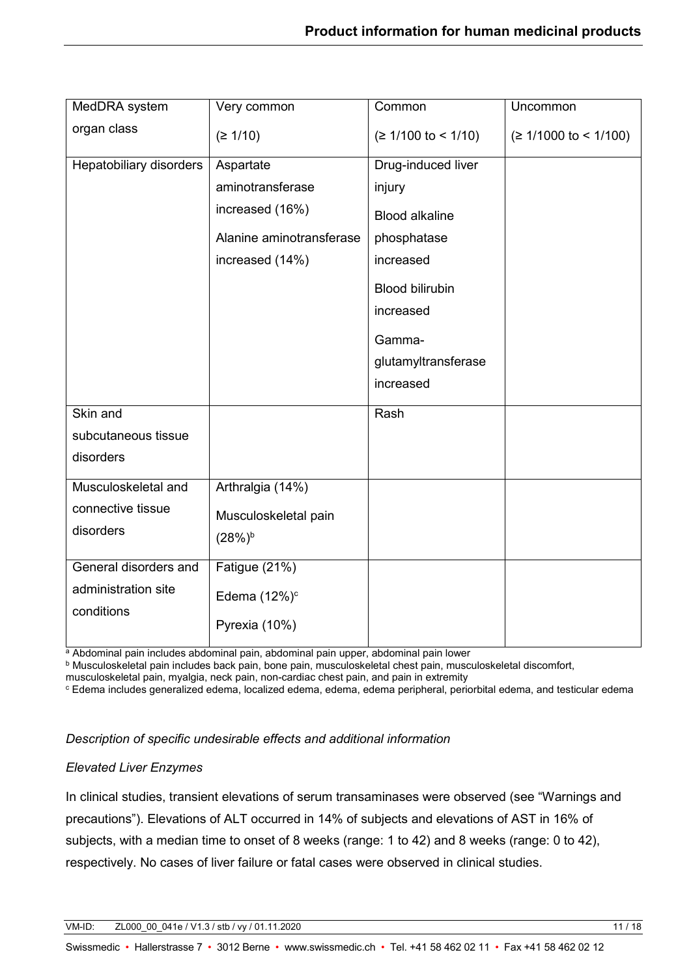| MedDRA system           | Very common              | Common                 | Uncommon                |
|-------------------------|--------------------------|------------------------|-------------------------|
| organ class             | (≥ 1/10)                 | $(≥ 1/100$ to < 1/10)  | $(≥ 1/1000$ to < 1/100) |
| Hepatobiliary disorders | Aspartate                | Drug-induced liver     |                         |
|                         | aminotransferase         | injury                 |                         |
|                         | increased (16%)          | <b>Blood alkaline</b>  |                         |
|                         | Alanine aminotransferase | phosphatase            |                         |
|                         | increased (14%)          | increased              |                         |
|                         |                          | <b>Blood bilirubin</b> |                         |
|                         |                          | increased              |                         |
|                         |                          | Gamma-                 |                         |
|                         |                          | glutamyltransferase    |                         |
|                         |                          | increased              |                         |
| Skin and                |                          | Rash                   |                         |
| subcutaneous tissue     |                          |                        |                         |
| disorders               |                          |                        |                         |
| Musculoskeletal and     | Arthralgia (14%)         |                        |                         |
| connective tissue       | Musculoskeletal pain     |                        |                         |
| disorders               | $(28%)^b$                |                        |                         |
| General disorders and   | Fatigue (21%)            |                        |                         |
| administration site     |                          |                        |                         |
| conditions              | Edema $(12\%)^c$         |                        |                         |
|                         | Pyrexia (10%)            |                        |                         |
|                         |                          |                        |                         |

a Abdominal pain includes abdominal pain, abdominal pain upper, abdominal pain lower

<sup>b</sup> Musculoskeletal pain includes back pain, bone pain, musculoskeletal chest pain, musculoskeletal discomfort,

musculoskeletal pain, myalgia, neck pain, non-cardiac chest pain, and pain in extremity

<sup>c</sup> Edema includes generalized edema, localized edema, edema, edema peripheral, periorbital edema, and testicular edema

#### *Description of specific undesirable effects and additional information*

#### *Elevated Liver Enzymes*

In clinical studies, transient elevations of serum transaminases were observed (see "Warnings and precautions"). Elevations of ALT occurred in 14% of subjects and elevations of AST in 16% of subjects, with a median time to onset of 8 weeks (range: 1 to 42) and 8 weeks (range: 0 to 42), respectively. No cases of liver failure or fatal cases were observed in clinical studies.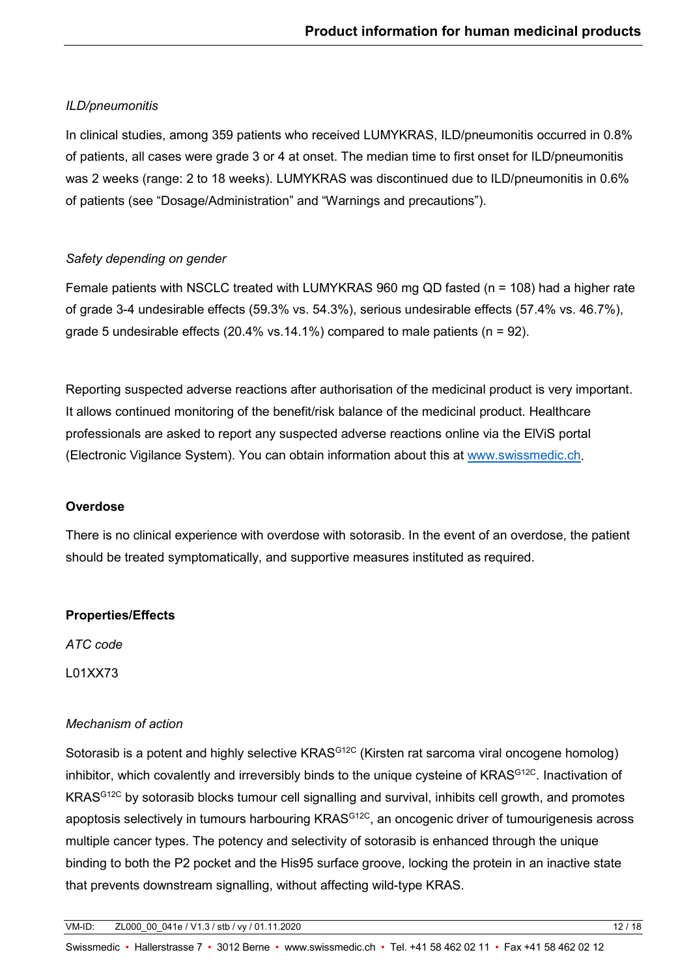# *ILD/pneumonitis*

In clinical studies, among 359 patients who received LUMYKRAS, ILD/pneumonitis occurred in 0.8% of patients, all cases were grade 3 or 4 at onset. The median time to first onset for ILD/pneumonitis was 2 weeks (range: 2 to 18 weeks). LUMYKRAS was discontinued due to ILD/pneumonitis in 0.6% of patients (see "Dosage/Administration" and "Warnings and precautions").

# *Safety depending on gender*

Female patients with NSCLC treated with LUMYKRAS 960 mg QD fasted (n = 108) had a higher rate of grade 3-4 undesirable effects (59.3% vs. 54.3%), serious undesirable effects (57.4% vs. 46.7%), grade 5 undesirable effects (20.4% vs.14.1%) compared to male patients ( $n = 92$ ).

Reporting suspected adverse reactions after authorisation of the medicinal product is very important. It allows continued monitoring of the benefit/risk balance of the medicinal product. Healthcare professionals are asked to report any suspected adverse reactions online via the ElViS portal (Electronic Vigilance System). You can obtain information about this at [www.swissmedic.ch.](http://www.swissmedic.ch/)

## **Overdose**

There is no clinical experience with overdose with sotorasib. In the event of an overdose, the patient should be treated symptomatically, and supportive measures instituted as required.

# **Properties/Effects**

*ATC code*

L01XX73

# *Mechanism of action*

Sotorasib is a potent and highly selective KRAS<sup>G12C</sup> (Kirsten rat sarcoma viral oncogene homolog) inhibitor, which covalently and irreversibly binds to the unique cysteine of KRAS<sup>G12C</sup>. Inactivation of KRASG12C by sotorasib blocks tumour cell signalling and survival, inhibits cell growth, and promotes apoptosis selectively in tumours harbouring KRAS<sup>G12C</sup>, an oncogenic driver of tumourigenesis across multiple cancer types. The potency and selectivity of sotorasib is enhanced through the unique binding to both the P2 pocket and the His95 surface groove, locking the protein in an inactive state that prevents downstream signalling, without affecting wild-type KRAS.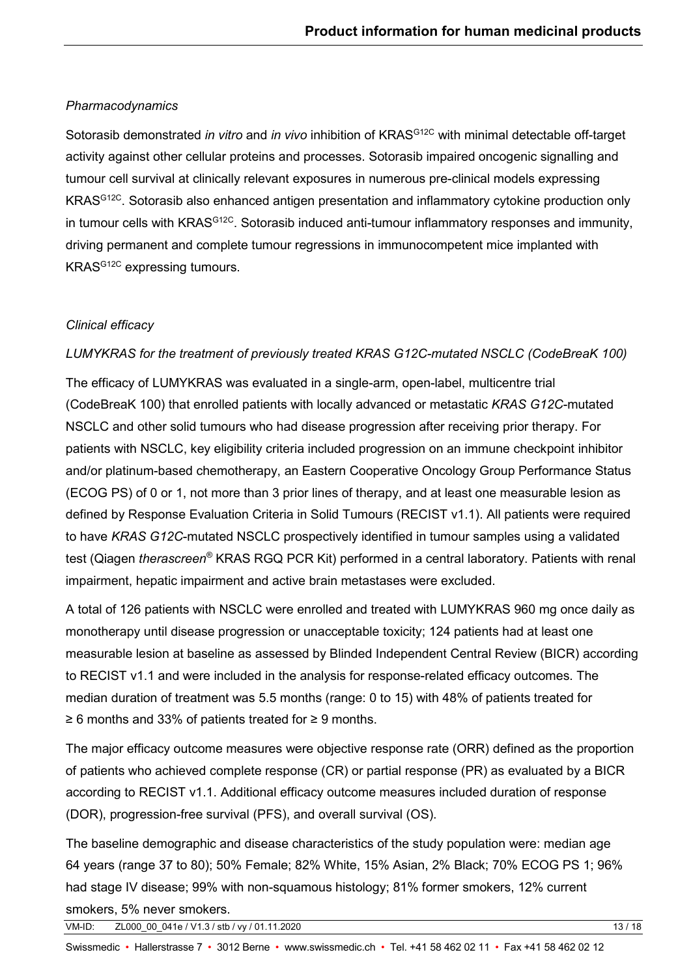## *Pharmacodynamics*

Sotorasib demonstrated *in vitro* and *in vivo* inhibition of KRAS<sup>G12C</sup> with minimal detectable off-target activity against other cellular proteins and processes. Sotorasib impaired oncogenic signalling and tumour cell survival at clinically relevant exposures in numerous pre-clinical models expressing KRASG12C. Sotorasib also enhanced antigen presentation and inflammatory cytokine production only in tumour cells with KRAS<sup>G12C</sup>. Sotorasib induced anti-tumour inflammatory responses and immunity, driving permanent and complete tumour regressions in immunocompetent mice implanted with KRASG12C expressing tumours.

## *Clinical efficacy*

## *LUMYKRAS for the treatment of previously treated KRAS G12C-mutated NSCLC (CodeBreaK 100)*

The efficacy of LUMYKRAS was evaluated in a single-arm, open-label, multicentre trial (CodeBreaK 100) that enrolled patients with locally advanced or metastatic *KRAS G12C*-mutated NSCLC and other solid tumours who had disease progression after receiving prior therapy. For patients with NSCLC, key eligibility criteria included progression on an immune checkpoint inhibitor and/or platinum-based chemotherapy, an Eastern Cooperative Oncology Group Performance Status (ECOG PS) of 0 or 1, not more than 3 prior lines of therapy, and at least one measurable lesion as defined by Response Evaluation Criteria in Solid Tumours (RECIST v1.1). All patients were required to have *KRAS G12C*-mutated NSCLC prospectively identified in tumour samples using a validated test (Qiagen *therascreen®* KRAS RGQ PCR Kit) performed in a central laboratory. Patients with renal impairment, hepatic impairment and active brain metastases were excluded.

A total of 126 patients with NSCLC were enrolled and treated with LUMYKRAS 960 mg once daily as monotherapy until disease progression or unacceptable toxicity; 124 patients had at least one measurable lesion at baseline as assessed by Blinded Independent Central Review (BICR) according to RECIST v1.1 and were included in the analysis for response-related efficacy outcomes. The median duration of treatment was 5.5 months (range: 0 to 15) with 48% of patients treated for ≥ 6 months and 33% of patients treated for ≥ 9 months.

The major efficacy outcome measures were objective response rate (ORR) defined as the proportion of patients who achieved complete response (CR) or partial response (PR) as evaluated by a BICR according to RECIST v1.1. Additional efficacy outcome measures included duration of response (DOR), progression-free survival (PFS), and overall survival (OS).

The baseline demographic and disease characteristics of the study population were: median age 64 years (range 37 to 80); 50% Female; 82% White, 15% Asian, 2% Black; 70% ECOG PS 1; 96% had stage IV disease; 99% with non-squamous histology; 81% former smokers, 12% current smokers, 5% never smokers.

VM-ID: ZL000\_00\_041e / V1.3 / stb / vy / 01.11.2020 13 / 18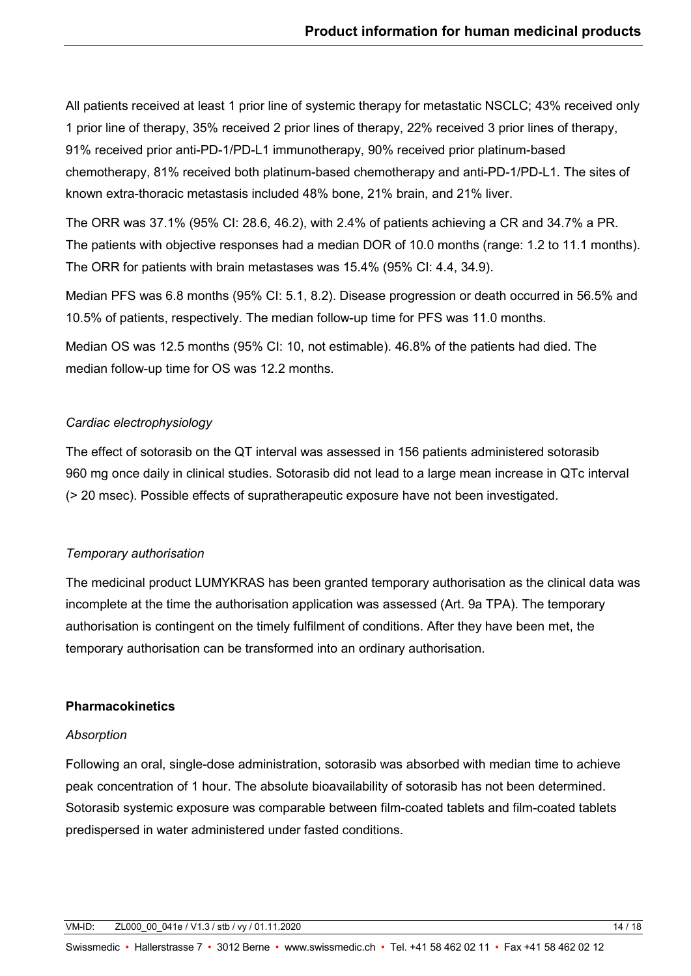All patients received at least 1 prior line of systemic therapy for metastatic NSCLC; 43% received only 1 prior line of therapy, 35% received 2 prior lines of therapy, 22% received 3 prior lines of therapy, 91% received prior anti-PD-1/PD-L1 immunotherapy, 90% received prior platinum-based chemotherapy, 81% received both platinum-based chemotherapy and anti-PD-1/PD-L1. The sites of known extra-thoracic metastasis included 48% bone, 21% brain, and 21% liver.

The ORR was 37.1% (95% CI: 28.6, 46.2), with 2.4% of patients achieving a CR and 34.7% a PR. The patients with objective responses had a median DOR of 10.0 months (range: 1.2 to 11.1 months). The ORR for patients with brain metastases was 15.4% (95% CI: 4.4, 34.9).

Median PFS was 6.8 months (95% CI: 5.1, 8.2). Disease progression or death occurred in 56.5% and 10.5% of patients, respectively. The median follow-up time for PFS was 11.0 months.

Median OS was 12.5 months (95% CI: 10, not estimable). 46.8% of the patients had died. The median follow-up time for OS was 12.2 months.

## *Cardiac electrophysiology*

The effect of sotorasib on the QT interval was assessed in 156 patients administered sotorasib 960 mg once daily in clinical studies. Sotorasib did not lead to a large mean increase in QTc interval (> 20 msec). Possible effects of supratherapeutic exposure have not been investigated.

## *Temporary authorisation*

The medicinal product LUMYKRAS has been granted temporary authorisation as the clinical data was incomplete at the time the authorisation application was assessed (Art. 9a TPA). The temporary authorisation is contingent on the timely fulfilment of conditions. After they have been met, the temporary authorisation can be transformed into an ordinary authorisation.

## **Pharmacokinetics**

### *Absorption*

Following an oral, single-dose administration, sotorasib was absorbed with median time to achieve peak concentration of 1 hour. The absolute bioavailability of sotorasib has not been determined. Sotorasib systemic exposure was comparable between film-coated tablets and film-coated tablets predispersed in water administered under fasted conditions.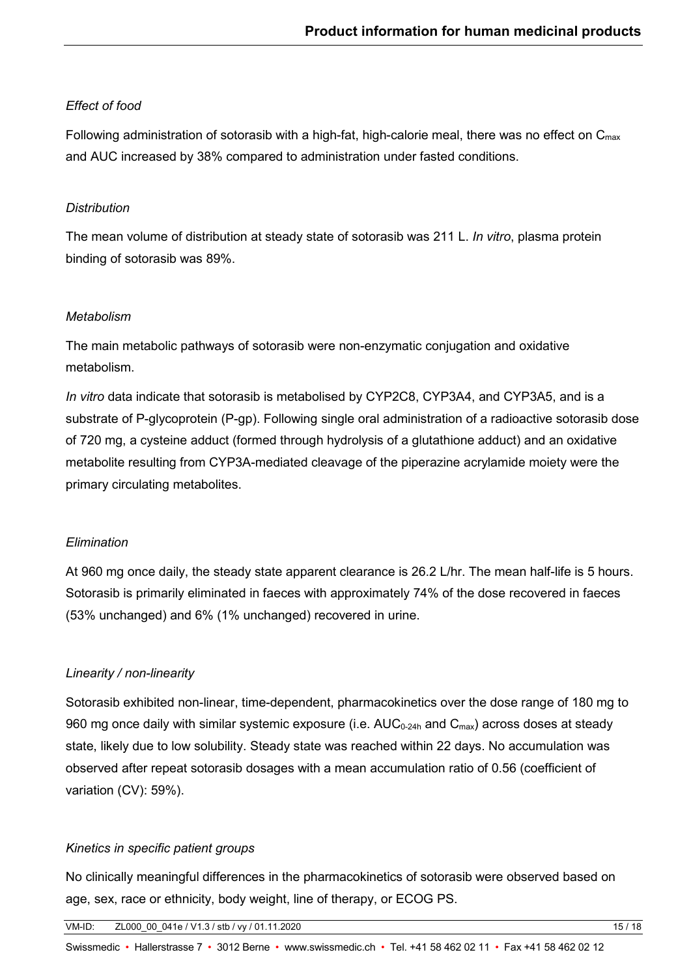## *Effect of food*

Following administration of sotorasib with a high-fat, high-calorie meal, there was no effect on  $C_{\text{max}}$ and AUC increased by 38% compared to administration under fasted conditions.

## *Distribution*

The mean volume of distribution at steady state of sotorasib was 211 L. *In vitro*, plasma protein binding of sotorasib was 89%.

## *Metabolism*

The main metabolic pathways of sotorasib were non-enzymatic conjugation and oxidative metabolism.

*In vitro* data indicate that sotorasib is metabolised by CYP2C8, CYP3A4, and CYP3A5, and is a substrate of P-glycoprotein (P-gp). Following single oral administration of a radioactive sotorasib dose of 720 mg, a cysteine adduct (formed through hydrolysis of a glutathione adduct) and an oxidative metabolite resulting from CYP3A-mediated cleavage of the piperazine acrylamide moiety were the primary circulating metabolites.

## *Elimination*

At 960 mg once daily, the steady state apparent clearance is 26.2 L/hr. The mean half-life is 5 hours. Sotorasib is primarily eliminated in faeces with approximately 74% of the dose recovered in faeces (53% unchanged) and 6% (1% unchanged) recovered in urine.

# *Linearity / non-linearity*

Sotorasib exhibited non-linear, time-dependent, pharmacokinetics over the dose range of 180 mg to 960 mg once daily with similar systemic exposure (i.e.  $AUC_{0.24h}$  and  $C_{max}$ ) across doses at steady state, likely due to low solubility. Steady state was reached within 22 days. No accumulation was observed after repeat sotorasib dosages with a mean accumulation ratio of 0.56 (coefficient of variation (CV): 59%).

## *Kinetics in specific patient groups*

No clinically meaningful differences in the pharmacokinetics of sotorasib were observed based on age, sex, race or ethnicity, body weight, line of therapy, or ECOG PS.

VM-ID: ZL000\_00\_041e / V1.3 / stb / vy / 01.11.2020 15 / 18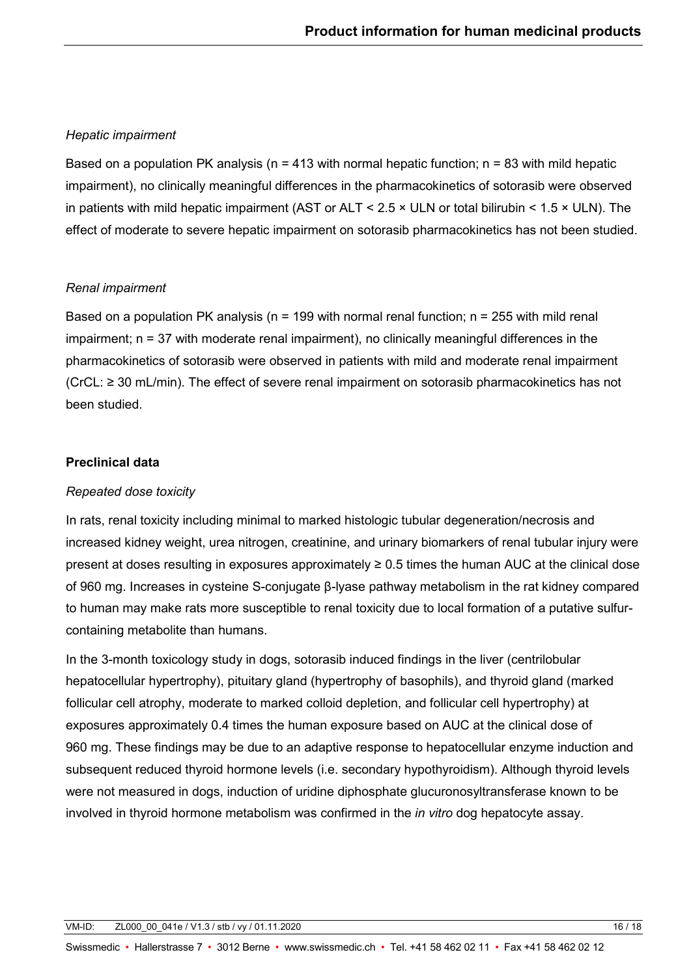## *Hepatic impairment*

Based on a population PK analysis ( $n = 413$  with normal hepatic function;  $n = 83$  with mild hepatic impairment), no clinically meaningful differences in the pharmacokinetics of sotorasib were observed in patients with mild hepatic impairment (AST or ALT < 2.5 × ULN or total bilirubin < 1.5 × ULN). The effect of moderate to severe hepatic impairment on sotorasib pharmacokinetics has not been studied.

## *Renal impairment*

Based on a population PK analysis ( $n = 199$  with normal renal function;  $n = 255$  with mild renal impairment; n = 37 with moderate renal impairment), no clinically meaningful differences in the pharmacokinetics of sotorasib were observed in patients with mild and moderate renal impairment (CrCL: ≥ 30 mL/min). The effect of severe renal impairment on sotorasib pharmacokinetics has not been studied.

## **Preclinical data**

## *Repeated dose toxicity*

In rats, renal toxicity including minimal to marked histologic tubular degeneration/necrosis and increased kidney weight, urea nitrogen, creatinine, and urinary biomarkers of renal tubular injury were present at doses resulting in exposures approximately ≥ 0.5 times the human AUC at the clinical dose of 960 mg. Increases in cysteine S-conjugate β-lyase pathway metabolism in the rat kidney compared to human may make rats more susceptible to renal toxicity due to local formation of a putative sulfurcontaining metabolite than humans.

In the 3-month toxicology study in dogs, sotorasib induced findings in the liver (centrilobular hepatocellular hypertrophy), pituitary gland (hypertrophy of basophils), and thyroid gland (marked follicular cell atrophy, moderate to marked colloid depletion, and follicular cell hypertrophy) at exposures approximately 0.4 times the human exposure based on AUC at the clinical dose of 960 mg. These findings may be due to an adaptive response to hepatocellular enzyme induction and subsequent reduced thyroid hormone levels (i.e. secondary hypothyroidism). Although thyroid levels were not measured in dogs, induction of uridine diphosphate glucuronosyltransferase known to be involved in thyroid hormone metabolism was confirmed in the *in vitro* dog hepatocyte assay.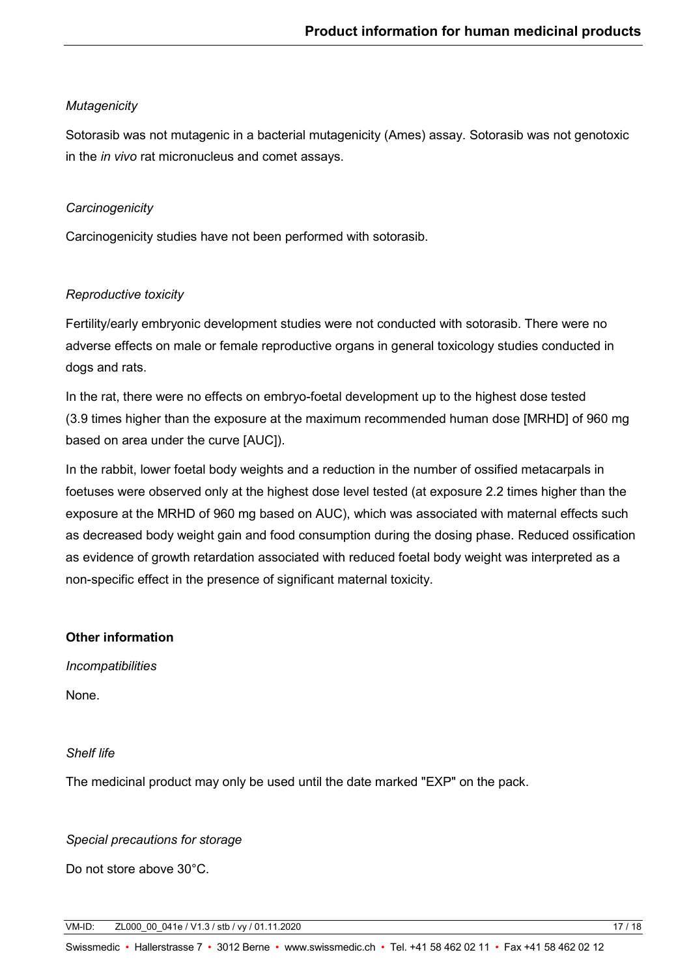# *Mutagenicity*

Sotorasib was not mutagenic in a bacterial mutagenicity (Ames) assay. Sotorasib was not genotoxic in the *in vivo* rat micronucleus and comet assays.

## *Carcinogenicity*

Carcinogenicity studies have not been performed with sotorasib.

# *Reproductive toxicity*

Fertility/early embryonic development studies were not conducted with sotorasib. There were no adverse effects on male or female reproductive organs in general toxicology studies conducted in dogs and rats.

In the rat, there were no effects on embryo-foetal development up to the highest dose tested (3.9 times higher than the exposure at the maximum recommended human dose [MRHD] of 960 mg based on area under the curve [AUC]).

In the rabbit, lower foetal body weights and a reduction in the number of ossified metacarpals in foetuses were observed only at the highest dose level tested (at exposure 2.2 times higher than the exposure at the MRHD of 960 mg based on AUC), which was associated with maternal effects such as decreased body weight gain and food consumption during the dosing phase. Reduced ossification as evidence of growth retardation associated with reduced foetal body weight was interpreted as a non-specific effect in the presence of significant maternal toxicity.

## **Other information**

*Incompatibilities*

None.

## *Shelf life*

The medicinal product may only be used until the date marked "EXP" on the pack.

## *Special precautions for storage*

Do not store above 30°C.

VM-ID: ZL000\_00\_041e / V1.3 / stb / vy / 01.11.2020 17 / 18